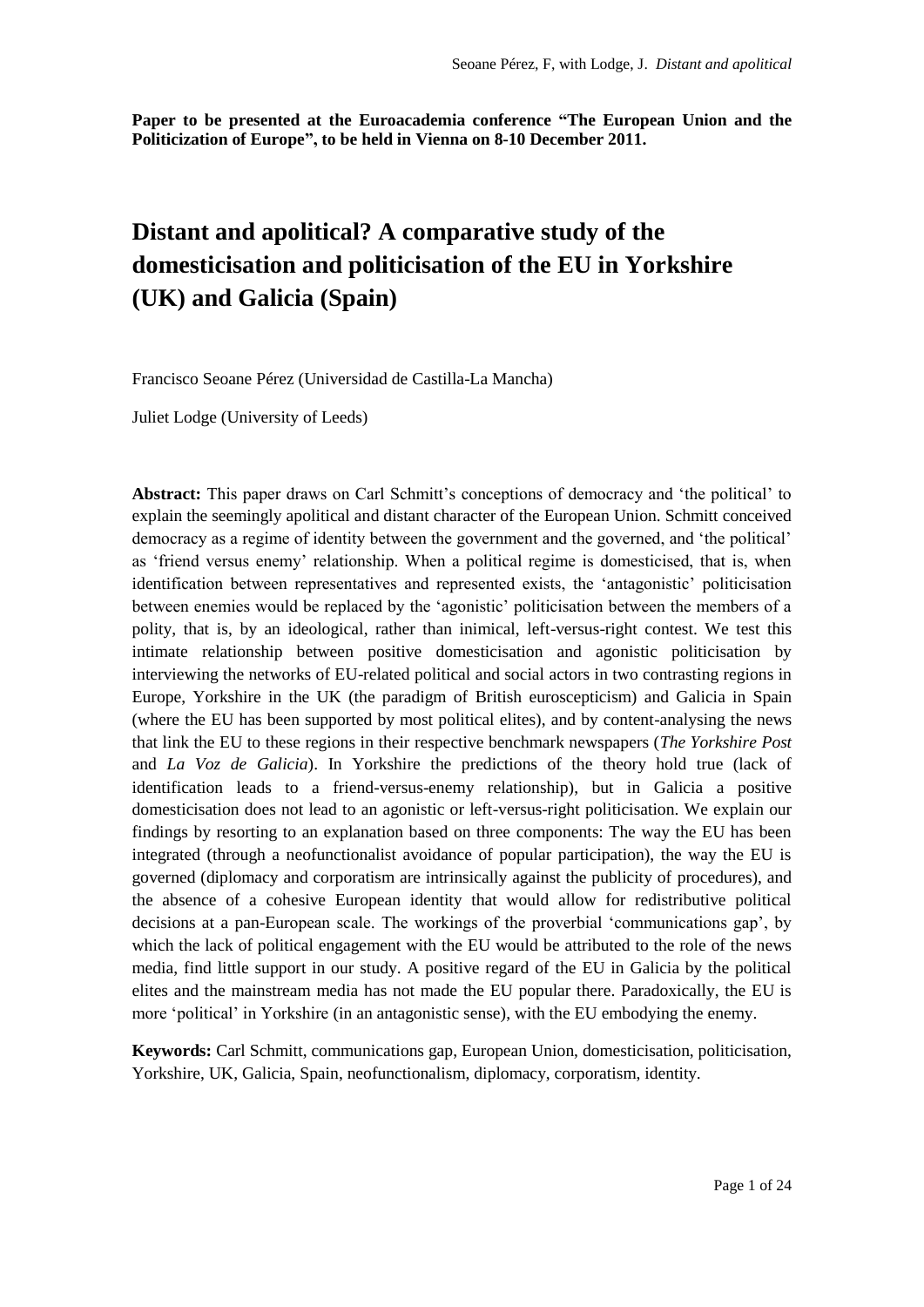**Paper to be presented at the Euroacademia conference "The European Union and the Politicization of Europe", to be held in Vienna on 8-10 December 2011.**

## **Distant and apolitical? A comparative study of the domesticisation and politicisation of the EU in Yorkshire (UK) and Galicia (Spain)**

Francisco Seoane Pérez (Universidad de Castilla-La Mancha)

Juliet Lodge (University of Leeds)

Abstract: This paper draws on Carl Schmitt's conceptions of democracy and 'the political' to explain the seemingly apolitical and distant character of the European Union. Schmitt conceived democracy as a regime of identity between the government and the governed, and 'the political' as "friend versus enemy" relationship. When a political regime is domesticised, that is, when identification between representatives and represented exists, the "antagonistic" politicisation between enemies would be replaced by the "agonistic" politicisation between the members of a polity, that is, by an ideological, rather than inimical, left-versus-right contest. We test this intimate relationship between positive domesticisation and agonistic politicisation by interviewing the networks of EU-related political and social actors in two contrasting regions in Europe, Yorkshire in the UK (the paradigm of British euroscepticism) and Galicia in Spain (where the EU has been supported by most political elites), and by content-analysing the news that link the EU to these regions in their respective benchmark newspapers (*The Yorkshire Post* and *La Voz de Galicia*). In Yorkshire the predictions of the theory hold true (lack of identification leads to a friend-versus-enemy relationship), but in Galicia a positive domesticisation does not lead to an agonistic or left-versus-right politicisation. We explain our findings by resorting to an explanation based on three components: The way the EU has been integrated (through a neofunctionalist avoidance of popular participation), the way the EU is governed (diplomacy and corporatism are intrinsically against the publicity of procedures), and the absence of a cohesive European identity that would allow for redistributive political decisions at a pan-European scale. The workings of the proverbial "communications gap", by which the lack of political engagement with the EU would be attributed to the role of the news media, find little support in our study. A positive regard of the EU in Galicia by the political elites and the mainstream media has not made the EU popular there. Paradoxically, the EU is more "political" in Yorkshire (in an antagonistic sense), with the EU embodying the enemy.

**Keywords:** Carl Schmitt, communications gap, European Union, domesticisation, politicisation, Yorkshire, UK, Galicia, Spain, neofunctionalism, diplomacy, corporatism, identity.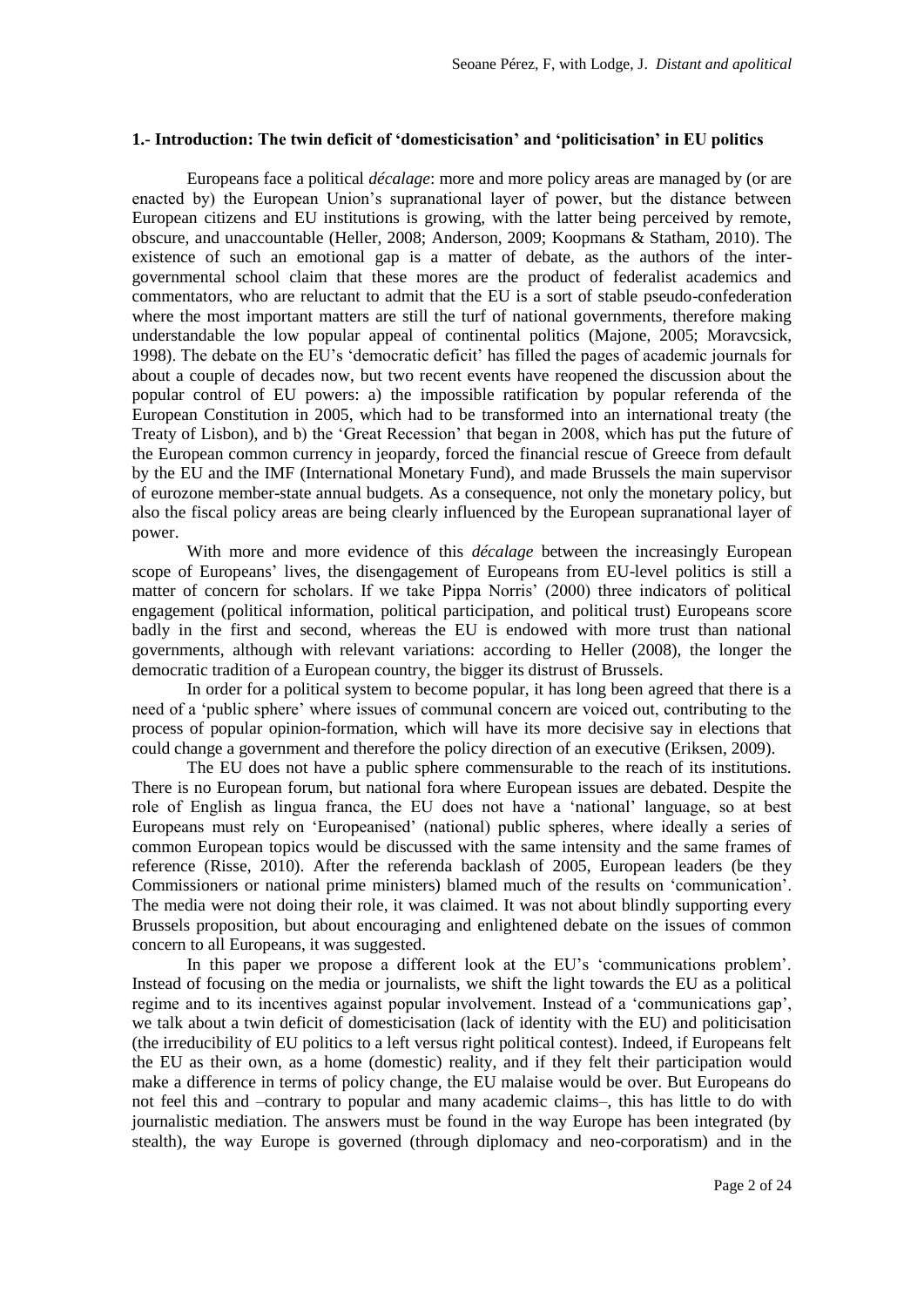#### **1.- Introduction: The twin deficit of "domesticisation" and "politicisation" in EU politics**

Europeans face a political *décalage*: more and more policy areas are managed by (or are enacted by) the European Union"s supranational layer of power, but the distance between European citizens and EU institutions is growing, with the latter being perceived by remote, obscure, and unaccountable (Heller, 2008; Anderson, 2009; Koopmans & Statham, 2010). The existence of such an emotional gap is a matter of debate, as the authors of the intergovernmental school claim that these mores are the product of federalist academics and commentators, who are reluctant to admit that the EU is a sort of stable pseudo-confederation where the most important matters are still the turf of national governments, therefore making understandable the low popular appeal of continental politics (Majone, 2005; Moravcsick, 1998). The debate on the EU"s "democratic deficit" has filled the pages of academic journals for about a couple of decades now, but two recent events have reopened the discussion about the popular control of EU powers: a) the impossible ratification by popular referenda of the European Constitution in 2005, which had to be transformed into an international treaty (the Treaty of Lisbon), and b) the "Great Recession" that began in 2008, which has put the future of the European common currency in jeopardy, forced the financial rescue of Greece from default by the EU and the IMF (International Monetary Fund), and made Brussels the main supervisor of eurozone member-state annual budgets. As a consequence, not only the monetary policy, but also the fiscal policy areas are being clearly influenced by the European supranational layer of power.

With more and more evidence of this *décalage* between the increasingly European scope of Europeans" lives, the disengagement of Europeans from EU-level politics is still a matter of concern for scholars. If we take Pippa Norris' (2000) three indicators of political engagement (political information, political participation, and political trust) Europeans score badly in the first and second, whereas the EU is endowed with more trust than national governments, although with relevant variations: according to Heller (2008), the longer the democratic tradition of a European country, the bigger its distrust of Brussels.

In order for a political system to become popular, it has long been agreed that there is a need of a "public sphere" where issues of communal concern are voiced out, contributing to the process of popular opinion-formation, which will have its more decisive say in elections that could change a government and therefore the policy direction of an executive (Eriksen, 2009).

The EU does not have a public sphere commensurable to the reach of its institutions. There is no European forum, but national fora where European issues are debated. Despite the role of English as lingua franca, the EU does not have a "national" language, so at best Europeans must rely on "Europeanised" (national) public spheres, where ideally a series of common European topics would be discussed with the same intensity and the same frames of reference (Risse, 2010). After the referenda backlash of 2005, European leaders (be they Commissioners or national prime ministers) blamed much of the results on "communication". The media were not doing their role, it was claimed. It was not about blindly supporting every Brussels proposition, but about encouraging and enlightened debate on the issues of common concern to all Europeans, it was suggested.

In this paper we propose a different look at the EU's 'communications problem'. Instead of focusing on the media or journalists, we shift the light towards the EU as a political regime and to its incentives against popular involvement. Instead of a 'communications gap', we talk about a twin deficit of domesticisation (lack of identity with the EU) and politicisation (the irreducibility of EU politics to a left versus right political contest). Indeed, if Europeans felt the EU as their own, as a home (domestic) reality, and if they felt their participation would make a difference in terms of policy change, the EU malaise would be over. But Europeans do not feel this and –contrary to popular and many academic claims–, this has little to do with journalistic mediation. The answers must be found in the way Europe has been integrated (by stealth), the way Europe is governed (through diplomacy and neo-corporatism) and in the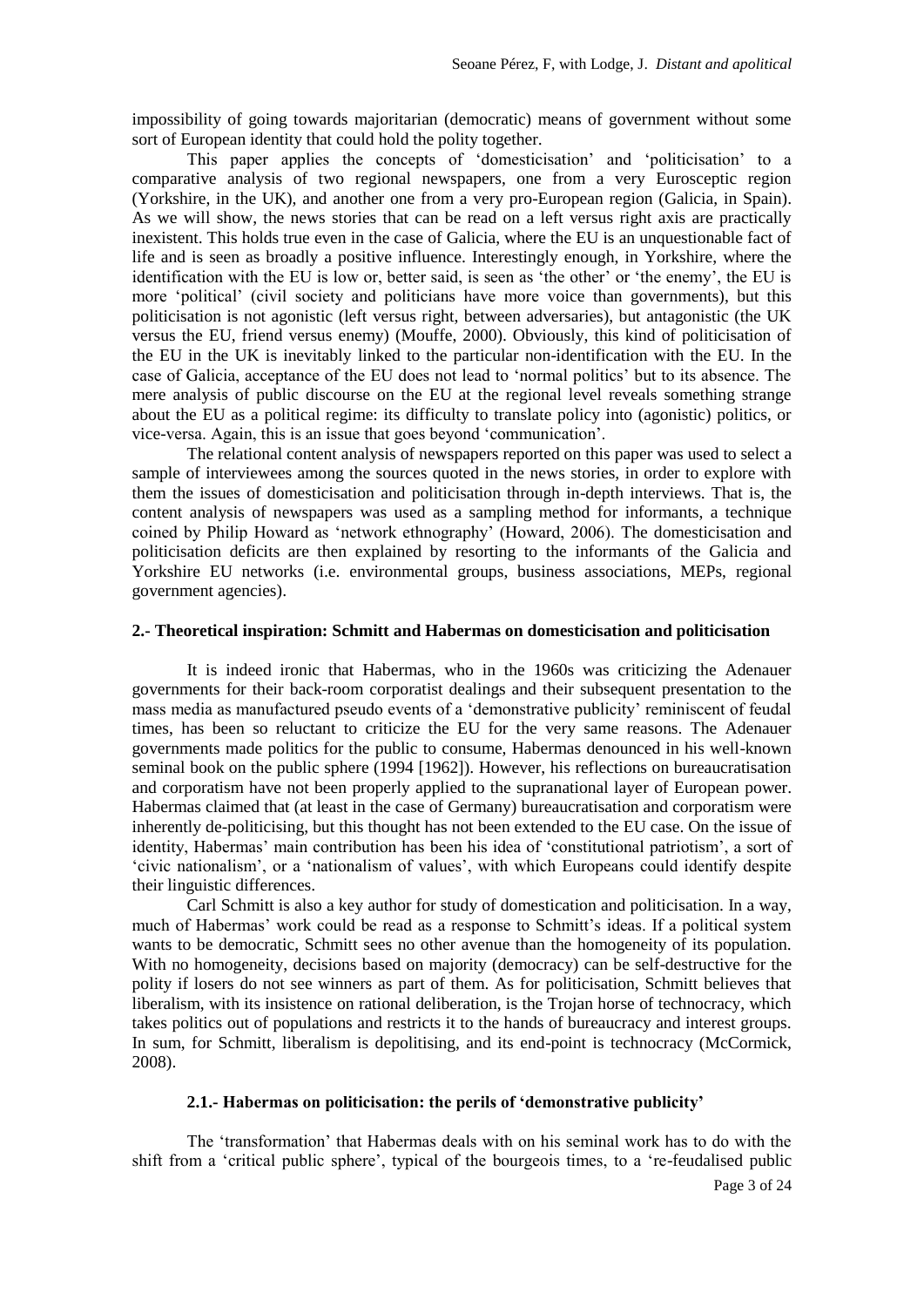impossibility of going towards majoritarian (democratic) means of government without some sort of European identity that could hold the polity together.

This paper applies the concepts of "domesticisation" and "politicisation" to a comparative analysis of two regional newspapers, one from a very Eurosceptic region (Yorkshire, in the UK), and another one from a very pro-European region (Galicia, in Spain). As we will show, the news stories that can be read on a left versus right axis are practically inexistent. This holds true even in the case of Galicia, where the EU is an unquestionable fact of life and is seen as broadly a positive influence. Interestingly enough, in Yorkshire, where the identification with the EU is low or, better said, is seen as "the other" or "the enemy", the EU is more "political" (civil society and politicians have more voice than governments), but this politicisation is not agonistic (left versus right, between adversaries), but antagonistic (the UK versus the EU, friend versus enemy) (Mouffe, 2000). Obviously, this kind of politicisation of the EU in the UK is inevitably linked to the particular non-identification with the EU. In the case of Galicia, acceptance of the EU does not lead to "normal politics" but to its absence. The mere analysis of public discourse on the EU at the regional level reveals something strange about the EU as a political regime: its difficulty to translate policy into (agonistic) politics, or vice-versa. Again, this is an issue that goes beyond "communication".

The relational content analysis of newspapers reported on this paper was used to select a sample of interviewees among the sources quoted in the news stories, in order to explore with them the issues of domesticisation and politicisation through in-depth interviews. That is, the content analysis of newspapers was used as a sampling method for informants, a technique coined by Philip Howard as "network ethnography" (Howard, 2006). The domesticisation and politicisation deficits are then explained by resorting to the informants of the Galicia and Yorkshire EU networks (i.e. environmental groups, business associations, MEPs, regional government agencies).

#### **2.- Theoretical inspiration: Schmitt and Habermas on domesticisation and politicisation**

It is indeed ironic that Habermas, who in the 1960s was criticizing the Adenauer governments for their back-room corporatist dealings and their subsequent presentation to the mass media as manufactured pseudo events of a "demonstrative publicity" reminiscent of feudal times, has been so reluctant to criticize the EU for the very same reasons. The Adenauer governments made politics for the public to consume, Habermas denounced in his well-known seminal book on the public sphere (1994 [1962]). However, his reflections on bureaucratisation and corporatism have not been properly applied to the supranational layer of European power. Habermas claimed that (at least in the case of Germany) bureaucratisation and corporatism were inherently de-politicising, but this thought has not been extended to the EU case. On the issue of identity, Habermas' main contribution has been his idea of 'constitutional patriotism', a sort of "civic nationalism", or a "nationalism of values", with which Europeans could identify despite their linguistic differences.

Carl Schmitt is also a key author for study of domestication and politicisation. In a way, much of Habermas' work could be read as a response to Schmitt's ideas. If a political system wants to be democratic, Schmitt sees no other avenue than the homogeneity of its population. With no homogeneity, decisions based on majority (democracy) can be self-destructive for the polity if losers do not see winners as part of them. As for politicisation, Schmitt believes that liberalism, with its insistence on rational deliberation, is the Trojan horse of technocracy, which takes politics out of populations and restricts it to the hands of bureaucracy and interest groups. In sum, for Schmitt, liberalism is depolitising, and its end-point is technocracy (McCormick, 2008).

#### **2.1.- Habermas on politicisation: the perils of "demonstrative publicity"**

The "transformation" that Habermas deals with on his seminal work has to do with the shift from a 'critical public sphere', typical of the bourgeois times, to a 're-feudalised public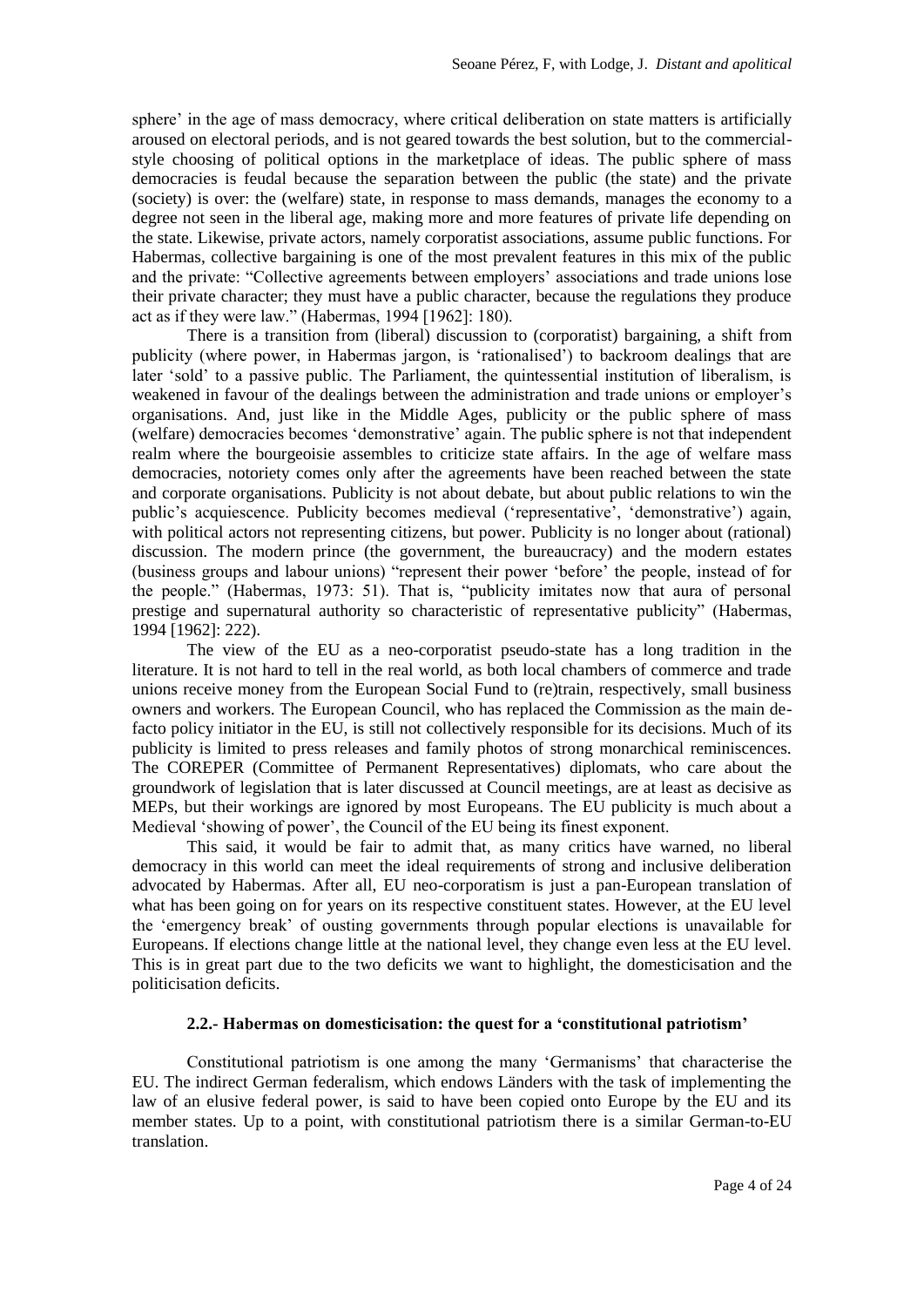sphere' in the age of mass democracy, where critical deliberation on state matters is artificially aroused on electoral periods, and is not geared towards the best solution, but to the commercialstyle choosing of political options in the marketplace of ideas. The public sphere of mass democracies is feudal because the separation between the public (the state) and the private (society) is over: the (welfare) state, in response to mass demands, manages the economy to a degree not seen in the liberal age, making more and more features of private life depending on the state. Likewise, private actors, namely corporatist associations, assume public functions. For Habermas, collective bargaining is one of the most prevalent features in this mix of the public and the private: "Collective agreements between employers' associations and trade unions lose their private character; they must have a public character, because the regulations they produce act as if they were law." (Habermas, 1994 [1962]: 180).

There is a transition from (liberal) discussion to (corporatist) bargaining, a shift from publicity (where power, in Habermas jargon, is "rationalised") to backroom dealings that are later "sold" to a passive public. The Parliament, the quintessential institution of liberalism, is weakened in favour of the dealings between the administration and trade unions or employer's organisations. And, just like in the Middle Ages, publicity or the public sphere of mass (welfare) democracies becomes "demonstrative" again. The public sphere is not that independent realm where the bourgeoisie assembles to criticize state affairs. In the age of welfare mass democracies, notoriety comes only after the agreements have been reached between the state and corporate organisations. Publicity is not about debate, but about public relations to win the public's acquiescence. Publicity becomes medieval ('representative', 'demonstrative') again, with political actors not representing citizens, but power. Publicity is no longer about (rational) discussion. The modern prince (the government, the bureaucracy) and the modern estates (business groups and labour unions) "represent their power "before" the people, instead of for the people." (Habermas, 1973: 51). That is, "publicity imitates now that aura of personal prestige and supernatural authority so characteristic of representative publicity" (Habermas, 1994 [1962]: 222).

The view of the EU as a neo-corporatist pseudo-state has a long tradition in the literature. It is not hard to tell in the real world, as both local chambers of commerce and trade unions receive money from the European Social Fund to (re)train, respectively, small business owners and workers. The European Council, who has replaced the Commission as the main defacto policy initiator in the EU, is still not collectively responsible for its decisions. Much of its publicity is limited to press releases and family photos of strong monarchical reminiscences. The COREPER (Committee of Permanent Representatives) diplomats, who care about the groundwork of legislation that is later discussed at Council meetings, are at least as decisive as MEPs, but their workings are ignored by most Europeans. The EU publicity is much about a Medieval "showing of power", the Council of the EU being its finest exponent.

This said, it would be fair to admit that, as many critics have warned, no liberal democracy in this world can meet the ideal requirements of strong and inclusive deliberation advocated by Habermas. After all, EU neo-corporatism is just a pan-European translation of what has been going on for years on its respective constituent states. However, at the EU level the "emergency break" of ousting governments through popular elections is unavailable for Europeans. If elections change little at the national level, they change even less at the EU level. This is in great part due to the two deficits we want to highlight, the domesticisation and the politicisation deficits.

#### **2.2.- Habermas on domesticisation: the quest for a "constitutional patriotism"**

Constitutional patriotism is one among the many "Germanisms" that characterise the EU. The indirect German federalism, which endows Länders with the task of implementing the law of an elusive federal power, is said to have been copied onto Europe by the EU and its member states. Up to a point, with constitutional patriotism there is a similar German-to-EU translation.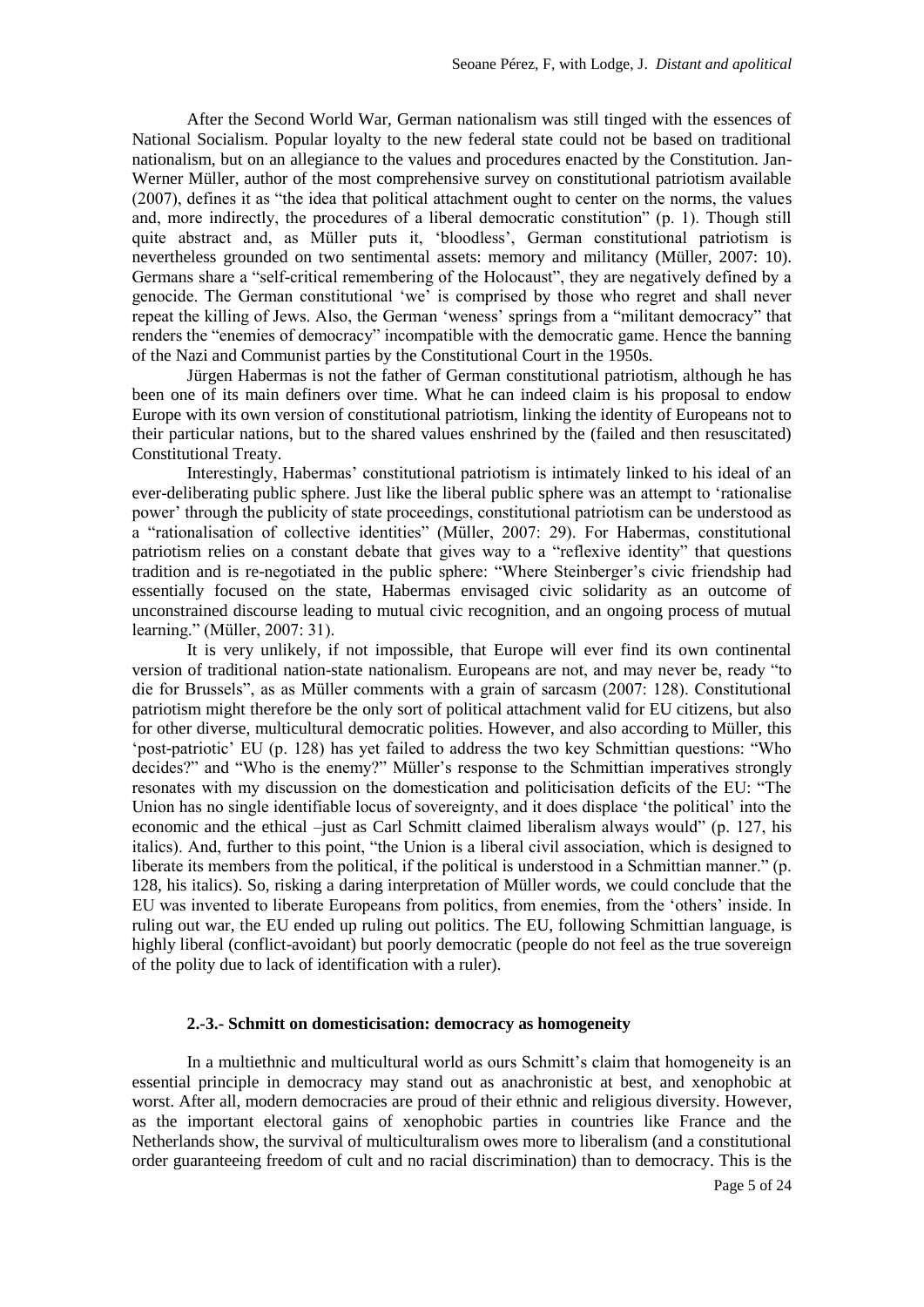After the Second World War, German nationalism was still tinged with the essences of National Socialism. Popular loyalty to the new federal state could not be based on traditional nationalism, but on an allegiance to the values and procedures enacted by the Constitution. Jan-Werner Müller, author of the most comprehensive survey on constitutional patriotism available (2007), defines it as "the idea that political attachment ought to center on the norms, the values and, more indirectly, the procedures of a liberal democratic constitution" (p. 1). Though still quite abstract and, as Müller puts it, "bloodless", German constitutional patriotism is nevertheless grounded on two sentimental assets: memory and militancy (Müller, 2007: 10). Germans share a "self-critical remembering of the Holocaust", they are negatively defined by a genocide. The German constitutional "we" is comprised by those who regret and shall never repeat the killing of Jews. Also, the German "weness" springs from a "militant democracy" that renders the "enemies of democracy" incompatible with the democratic game. Hence the banning of the Nazi and Communist parties by the Constitutional Court in the 1950s.

Jürgen Habermas is not the father of German constitutional patriotism, although he has been one of its main definers over time. What he can indeed claim is his proposal to endow Europe with its own version of constitutional patriotism, linking the identity of Europeans not to their particular nations, but to the shared values enshrined by the (failed and then resuscitated) Constitutional Treaty.

Interestingly, Habermas' constitutional patriotism is intimately linked to his ideal of an ever-deliberating public sphere. Just like the liberal public sphere was an attempt to "rationalise power" through the publicity of state proceedings, constitutional patriotism can be understood as a "rationalisation of collective identities" (Müller, 2007: 29). For Habermas, constitutional patriotism relies on a constant debate that gives way to a "reflexive identity" that questions tradition and is re-negotiated in the public sphere: "Where Steinberger"s civic friendship had essentially focused on the state, Habermas envisaged civic solidarity as an outcome of unconstrained discourse leading to mutual civic recognition, and an ongoing process of mutual learning." (Müller, 2007: 31).

It is very unlikely, if not impossible, that Europe will ever find its own continental version of traditional nation-state nationalism. Europeans are not, and may never be, ready "to die for Brussels", as as Müller comments with a grain of sarcasm (2007: 128). Constitutional patriotism might therefore be the only sort of political attachment valid for EU citizens, but also for other diverse, multicultural democratic polities. However, and also according to Müller, this 'post-patriotic' EU (p. 128) has yet failed to address the two key Schmittian questions: "Who decides?" and "Who is the enemy?" Müller's response to the Schmittian imperatives strongly resonates with my discussion on the domestication and politicisation deficits of the EU: "The Union has no single identifiable locus of sovereignty, and it does displace "the political" into the economic and the ethical –just as Carl Schmitt claimed liberalism always would" (p. 127, his italics). And, further to this point, "the Union is a liberal civil association, which is designed to liberate its members from the political, if the political is understood in a Schmittian manner." (p. 128, his italics). So, risking a daring interpretation of Müller words, we could conclude that the EU was invented to liberate Europeans from politics, from enemies, from the "others" inside. In ruling out war, the EU ended up ruling out politics. The EU, following Schmittian language, is highly liberal (conflict-avoidant) but poorly democratic (people do not feel as the true sovereign of the polity due to lack of identification with a ruler).

#### **2.-3.- Schmitt on domesticisation: democracy as homogeneity**

In a multiethnic and multicultural world as ours Schmitt's claim that homogeneity is an essential principle in democracy may stand out as anachronistic at best, and xenophobic at worst. After all, modern democracies are proud of their ethnic and religious diversity. However, as the important electoral gains of xenophobic parties in countries like France and the Netherlands show, the survival of multiculturalism owes more to liberalism (and a constitutional order guaranteeing freedom of cult and no racial discrimination) than to democracy. This is the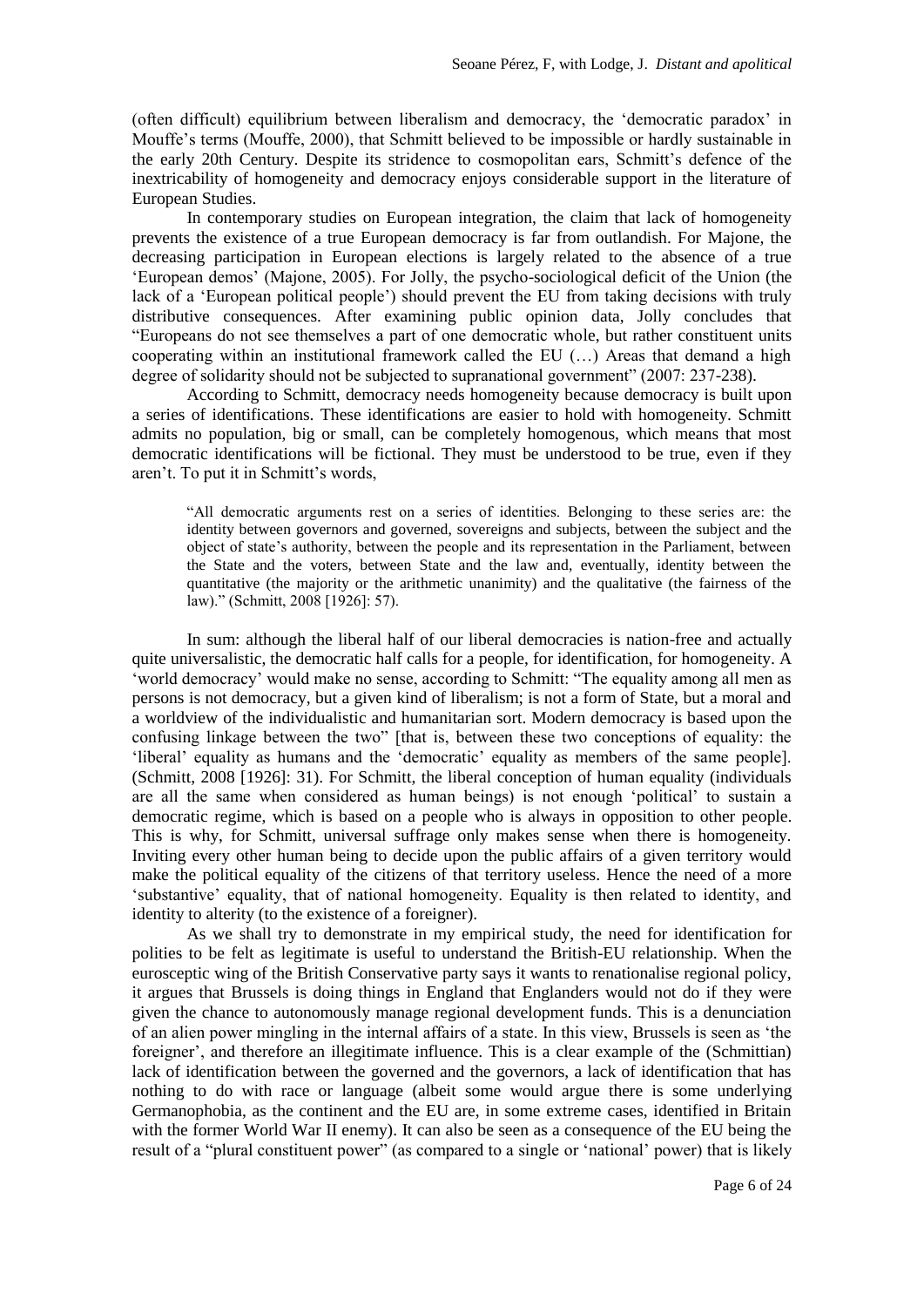(often difficult) equilibrium between liberalism and democracy, the "democratic paradox" in Mouffe"s terms (Mouffe, 2000), that Schmitt believed to be impossible or hardly sustainable in the early 20th Century. Despite its stridence to cosmopolitan ears, Schmitt's defence of the inextricability of homogeneity and democracy enjoys considerable support in the literature of European Studies.

In contemporary studies on European integration, the claim that lack of homogeneity prevents the existence of a true European democracy is far from outlandish. For Majone, the decreasing participation in European elections is largely related to the absence of a true "European demos" (Majone, 2005). For Jolly, the psycho-sociological deficit of the Union (the lack of a 'European political people') should prevent the EU from taking decisions with truly distributive consequences. After examining public opinion data, Jolly concludes that "Europeans do not see themselves a part of one democratic whole, but rather constituent units cooperating within an institutional framework called the EU (…) Areas that demand a high degree of solidarity should not be subjected to supranational government" (2007: 237-238).

According to Schmitt, democracy needs homogeneity because democracy is built upon a series of identifications. These identifications are easier to hold with homogeneity. Schmitt admits no population, big or small, can be completely homogenous, which means that most democratic identifications will be fictional. They must be understood to be true, even if they aren't. To put it in Schmitt's words,

"All democratic arguments rest on a series of identities. Belonging to these series are: the identity between governors and governed, sovereigns and subjects, between the subject and the object of state"s authority, between the people and its representation in the Parliament, between the State and the voters, between State and the law and, eventually, identity between the quantitative (the majority or the arithmetic unanimity) and the qualitative (the fairness of the law)." (Schmitt, 2008 [1926]: 57).

In sum: although the liberal half of our liberal democracies is nation-free and actually quite universalistic, the democratic half calls for a people, for identification, for homogeneity. A 'world democracy' would make no sense, according to Schmitt: "The equality among all men as persons is not democracy, but a given kind of liberalism; is not a form of State, but a moral and a worldview of the individualistic and humanitarian sort. Modern democracy is based upon the confusing linkage between the two" [that is, between these two conceptions of equality: the 'liberal' equality as humans and the 'democratic' equality as members of the same people]. (Schmitt, 2008 [1926]: 31). For Schmitt, the liberal conception of human equality (individuals are all the same when considered as human beings) is not enough "political" to sustain a democratic regime, which is based on a people who is always in opposition to other people. This is why, for Schmitt, universal suffrage only makes sense when there is homogeneity. Inviting every other human being to decide upon the public affairs of a given territory would make the political equality of the citizens of that territory useless. Hence the need of a more 'substantive' equality, that of national homogeneity. Equality is then related to identity, and identity to alterity (to the existence of a foreigner).

As we shall try to demonstrate in my empirical study, the need for identification for polities to be felt as legitimate is useful to understand the British-EU relationship. When the eurosceptic wing of the British Conservative party says it wants to renationalise regional policy, it argues that Brussels is doing things in England that Englanders would not do if they were given the chance to autonomously manage regional development funds. This is a denunciation of an alien power mingling in the internal affairs of a state. In this view, Brussels is seen as "the foreigner', and therefore an illegitimate influence. This is a clear example of the (Schmittian) lack of identification between the governed and the governors, a lack of identification that has nothing to do with race or language (albeit some would argue there is some underlying Germanophobia, as the continent and the EU are, in some extreme cases, identified in Britain with the former World War II enemy). It can also be seen as a consequence of the EU being the result of a "plural constituent power" (as compared to a single or 'national' power) that is likely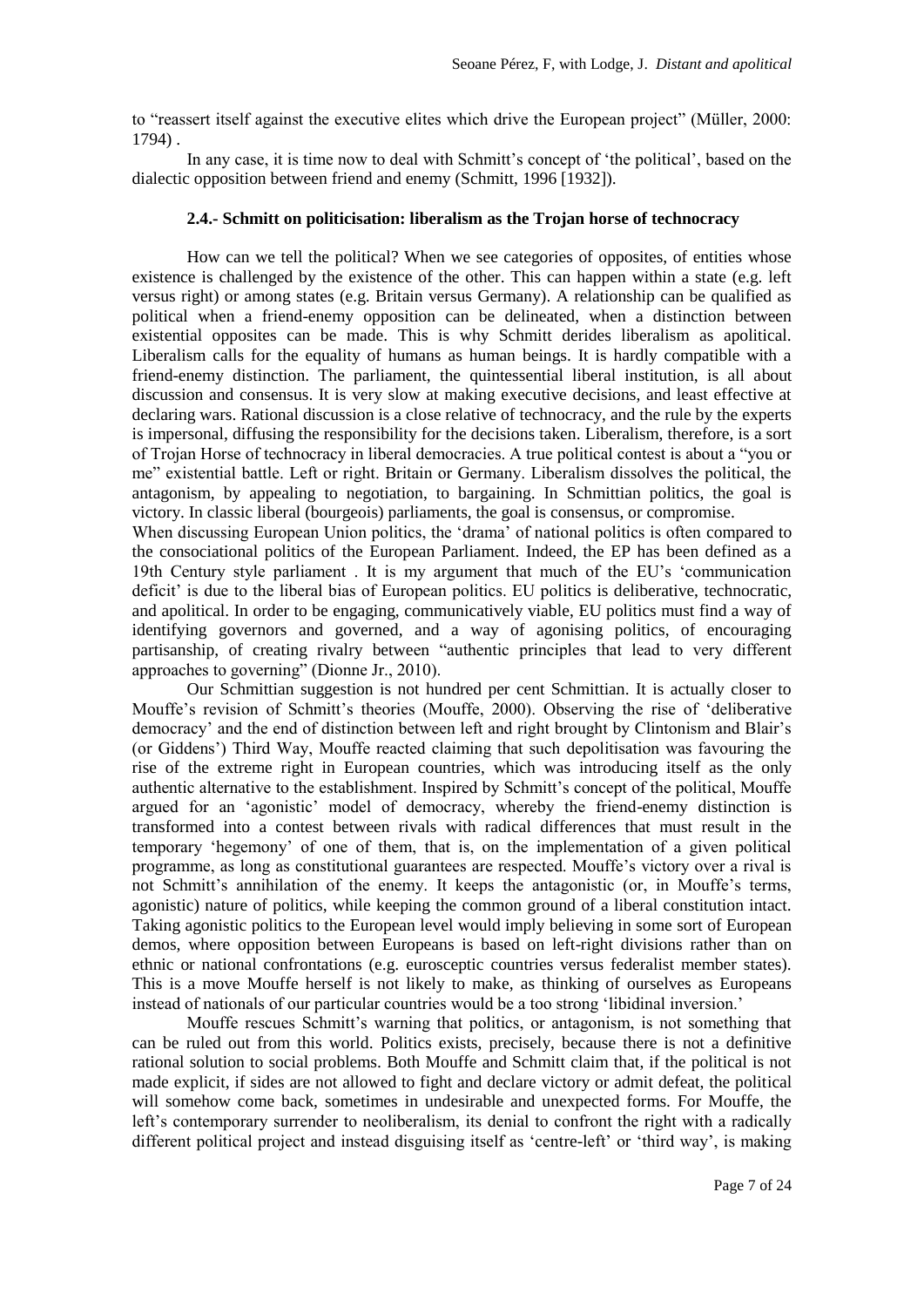to "reassert itself against the executive elites which drive the European project" (Müller, 2000: 1794) .

In any case, it is time now to deal with Schmitt's concept of 'the political', based on the dialectic opposition between friend and enemy (Schmitt, 1996 [1932]).

#### **2.4.- Schmitt on politicisation: liberalism as the Trojan horse of technocracy**

How can we tell the political? When we see categories of opposites, of entities whose existence is challenged by the existence of the other. This can happen within a state (e.g. left versus right) or among states (e.g. Britain versus Germany). A relationship can be qualified as political when a friend-enemy opposition can be delineated, when a distinction between existential opposites can be made. This is why Schmitt derides liberalism as apolitical. Liberalism calls for the equality of humans as human beings. It is hardly compatible with a friend-enemy distinction. The parliament, the quintessential liberal institution, is all about discussion and consensus. It is very slow at making executive decisions, and least effective at declaring wars. Rational discussion is a close relative of technocracy, and the rule by the experts is impersonal, diffusing the responsibility for the decisions taken. Liberalism, therefore, is a sort of Trojan Horse of technocracy in liberal democracies. A true political contest is about a "you or me" existential battle. Left or right. Britain or Germany. Liberalism dissolves the political, the antagonism, by appealing to negotiation, to bargaining. In Schmittian politics, the goal is victory. In classic liberal (bourgeois) parliaments, the goal is consensus, or compromise.

When discussing European Union politics, the 'drama' of national politics is often compared to the consociational politics of the European Parliament. Indeed, the EP has been defined as a 19th Century style parliament . It is my argument that much of the EU"s "communication deficit' is due to the liberal bias of European politics. EU politics is deliberative, technocratic, and apolitical. In order to be engaging, communicatively viable, EU politics must find a way of identifying governors and governed, and a way of agonising politics, of encouraging partisanship, of creating rivalry between "authentic principles that lead to very different approaches to governing" (Dionne Jr., 2010).

Our Schmittian suggestion is not hundred per cent Schmittian. It is actually closer to Mouffe's revision of Schmitt's theories (Mouffe, 2000). Observing the rise of 'deliberative democracy" and the end of distinction between left and right brought by Clintonism and Blair"s (or Giddens") Third Way, Mouffe reacted claiming that such depolitisation was favouring the rise of the extreme right in European countries, which was introducing itself as the only authentic alternative to the establishment. Inspired by Schmitt's concept of the political, Mouffe argued for an "agonistic" model of democracy, whereby the friend-enemy distinction is transformed into a contest between rivals with radical differences that must result in the temporary "hegemony" of one of them, that is, on the implementation of a given political programme, as long as constitutional guarantees are respected. Mouffe"s victory over a rival is not Schmitt's annihilation of the enemy. It keeps the antagonistic (or, in Mouffe's terms, agonistic) nature of politics, while keeping the common ground of a liberal constitution intact. Taking agonistic politics to the European level would imply believing in some sort of European demos, where opposition between Europeans is based on left-right divisions rather than on ethnic or national confrontations (e.g. eurosceptic countries versus federalist member states). This is a move Mouffe herself is not likely to make, as thinking of ourselves as Europeans instead of nationals of our particular countries would be a too strong "libidinal inversion."

Mouffe rescues Schmitt"s warning that politics, or antagonism, is not something that can be ruled out from this world. Politics exists, precisely, because there is not a definitive rational solution to social problems. Both Mouffe and Schmitt claim that, if the political is not made explicit, if sides are not allowed to fight and declare victory or admit defeat, the political will somehow come back, sometimes in undesirable and unexpected forms. For Mouffe, the left's contemporary surrender to neoliberalism, its denial to confront the right with a radically different political project and instead disguising itself as 'centre-left' or 'third way', is making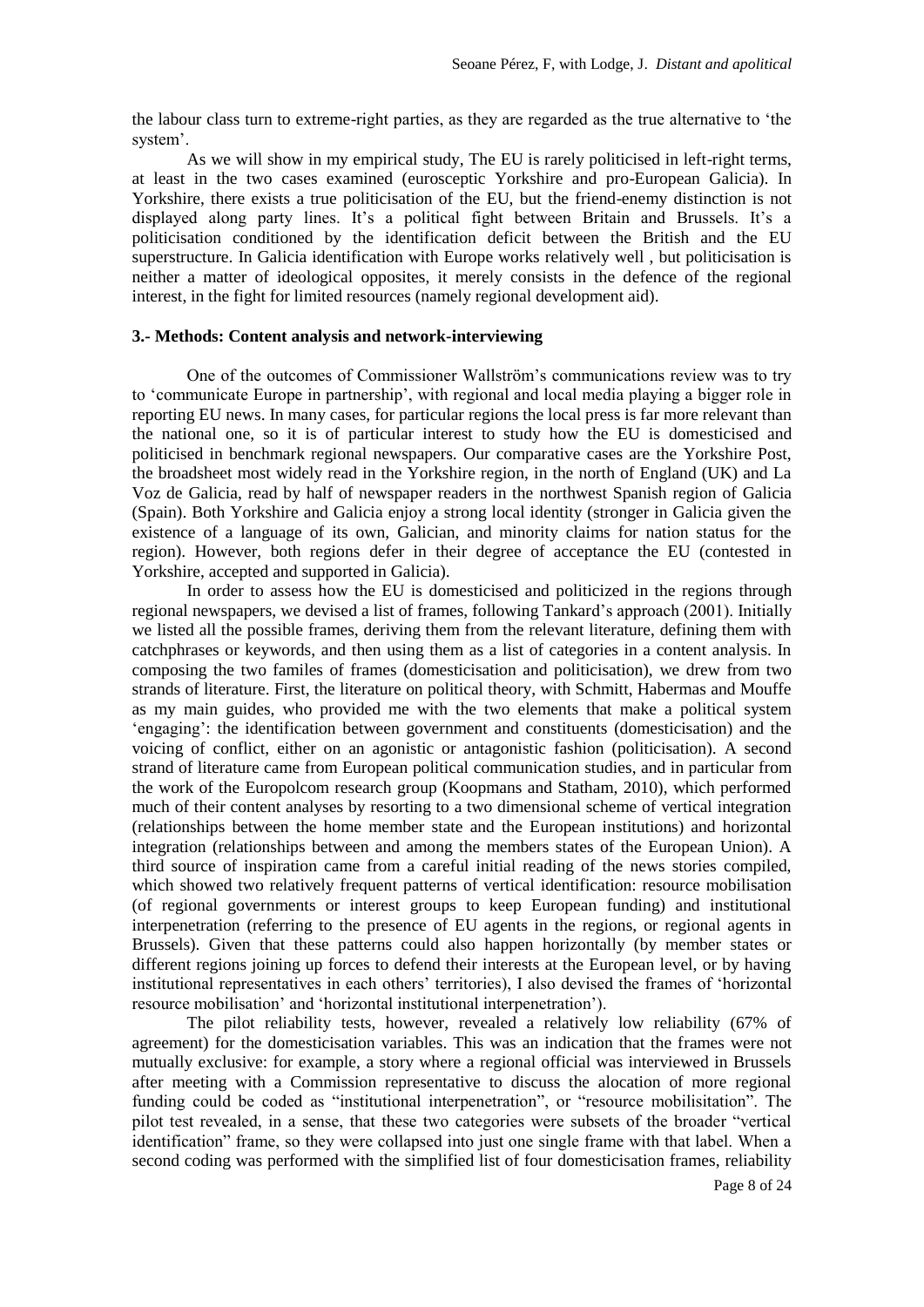the labour class turn to extreme-right parties, as they are regarded as the true alternative to "the system'.

As we will show in my empirical study, The EU is rarely politicised in left-right terms, at least in the two cases examined (eurosceptic Yorkshire and pro-European Galicia). In Yorkshire, there exists a true politicisation of the EU, but the friend-enemy distinction is not displayed along party lines. It's a political fight between Britain and Brussels. It's a politicisation conditioned by the identification deficit between the British and the EU superstructure. In Galicia identification with Europe works relatively well , but politicisation is neither a matter of ideological opposites, it merely consists in the defence of the regional interest, in the fight for limited resources (namely regional development aid).

#### **3.- Methods: Content analysis and network-interviewing**

One of the outcomes of Commissioner Wallström"s communications review was to try to "communicate Europe in partnership", with regional and local media playing a bigger role in reporting EU news. In many cases, for particular regions the local press is far more relevant than the national one, so it is of particular interest to study how the EU is domesticised and politicised in benchmark regional newspapers. Our comparative cases are the Yorkshire Post, the broadsheet most widely read in the Yorkshire region, in the north of England (UK) and La Voz de Galicia, read by half of newspaper readers in the northwest Spanish region of Galicia (Spain). Both Yorkshire and Galicia enjoy a strong local identity (stronger in Galicia given the existence of a language of its own, Galician, and minority claims for nation status for the region). However, both regions defer in their degree of acceptance the EU (contested in Yorkshire, accepted and supported in Galicia).

In order to assess how the EU is domesticised and politicized in the regions through regional newspapers, we devised a list of frames, following Tankard"s approach (2001). Initially we listed all the possible frames, deriving them from the relevant literature, defining them with catchphrases or keywords, and then using them as a list of categories in a content analysis. In composing the two familes of frames (domesticisation and politicisation), we drew from two strands of literature. First, the literature on political theory, with Schmitt, Habermas and Mouffe as my main guides, who provided me with the two elements that make a political system "engaging": the identification between government and constituents (domesticisation) and the voicing of conflict, either on an agonistic or antagonistic fashion (politicisation). A second strand of literature came from European political communication studies, and in particular from the work of the Europolcom research group (Koopmans and Statham, 2010), which performed much of their content analyses by resorting to a two dimensional scheme of vertical integration (relationships between the home member state and the European institutions) and horizontal integration (relationships between and among the members states of the European Union). A third source of inspiration came from a careful initial reading of the news stories compiled, which showed two relatively frequent patterns of vertical identification: resource mobilisation (of regional governments or interest groups to keep European funding) and institutional interpenetration (referring to the presence of EU agents in the regions, or regional agents in Brussels). Given that these patterns could also happen horizontally (by member states or different regions joining up forces to defend their interests at the European level, or by having institutional representatives in each others" territories), I also devised the frames of "horizontal resource mobilisation" and "horizontal institutional interpenetration").

The pilot reliability tests, however, revealed a relatively low reliability (67% of agreement) for the domesticisation variables. This was an indication that the frames were not mutually exclusive: for example, a story where a regional official was interviewed in Brussels after meeting with a Commission representative to discuss the alocation of more regional funding could be coded as "institutional interpenetration", or "resource mobilisitation". The pilot test revealed, in a sense, that these two categories were subsets of the broader "vertical identification" frame, so they were collapsed into just one single frame with that label. When a second coding was performed with the simplified list of four domesticisation frames, reliability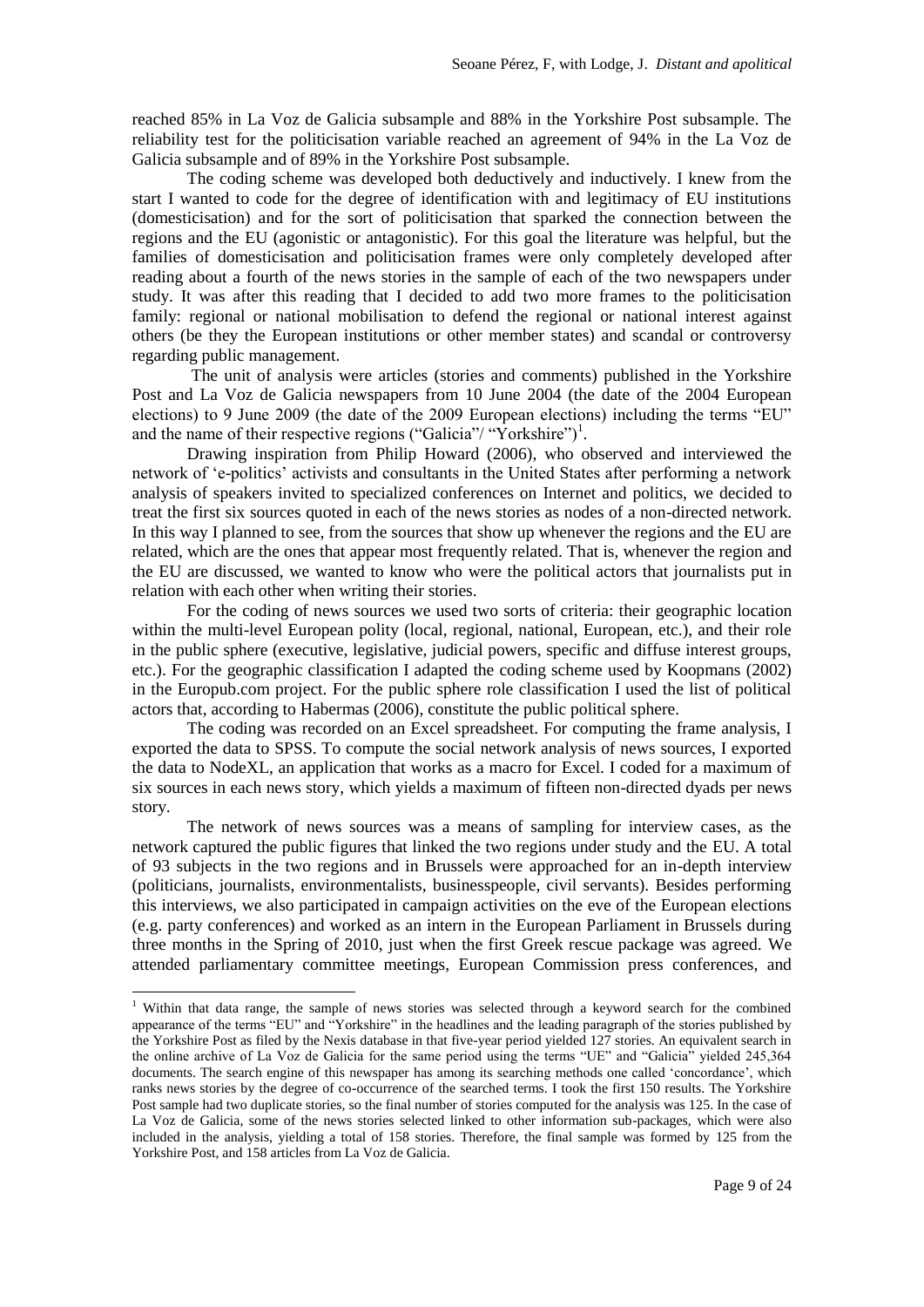reached 85% in La Voz de Galicia subsample and 88% in the Yorkshire Post subsample. The reliability test for the politicisation variable reached an agreement of 94% in the La Voz de Galicia subsample and of 89% in the Yorkshire Post subsample.

The coding scheme was developed both deductively and inductively. I knew from the start I wanted to code for the degree of identification with and legitimacy of EU institutions (domesticisation) and for the sort of politicisation that sparked the connection between the regions and the EU (agonistic or antagonistic). For this goal the literature was helpful, but the families of domesticisation and politicisation frames were only completely developed after reading about a fourth of the news stories in the sample of each of the two newspapers under study. It was after this reading that I decided to add two more frames to the politicisation family: regional or national mobilisation to defend the regional or national interest against others (be they the European institutions or other member states) and scandal or controversy regarding public management.

The unit of analysis were articles (stories and comments) published in the Yorkshire Post and La Voz de Galicia newspapers from 10 June 2004 (the date of the 2004 European elections) to 9 June 2009 (the date of the 2009 European elections) including the terms "EU" and the name of their respective regions ("Galicia"/ "Yorkshire")<sup>1</sup>.

Drawing inspiration from Philip Howard (2006), who observed and interviewed the network of "e-politics" activists and consultants in the United States after performing a network analysis of speakers invited to specialized conferences on Internet and politics, we decided to treat the first six sources quoted in each of the news stories as nodes of a non-directed network. In this way I planned to see, from the sources that show up whenever the regions and the EU are related, which are the ones that appear most frequently related. That is, whenever the region and the EU are discussed, we wanted to know who were the political actors that journalists put in relation with each other when writing their stories.

For the coding of news sources we used two sorts of criteria: their geographic location within the multi-level European polity (local, regional, national, European, etc.), and their role in the public sphere (executive, legislative, judicial powers, specific and diffuse interest groups, etc.). For the geographic classification I adapted the coding scheme used by Koopmans (2002) in the Europub.com project. For the public sphere role classification I used the list of political actors that, according to Habermas (2006), constitute the public political sphere.

The coding was recorded on an Excel spreadsheet. For computing the frame analysis, I exported the data to SPSS. To compute the social network analysis of news sources, I exported the data to NodeXL, an application that works as a macro for Excel. I coded for a maximum of six sources in each news story, which yields a maximum of fifteen non-directed dyads per news story.

The network of news sources was a means of sampling for interview cases, as the network captured the public figures that linked the two regions under study and the EU. A total of 93 subjects in the two regions and in Brussels were approached for an in-depth interview (politicians, journalists, environmentalists, businesspeople, civil servants). Besides performing this interviews, we also participated in campaign activities on the eve of the European elections (e.g. party conferences) and worked as an intern in the European Parliament in Brussels during three months in the Spring of 2010, just when the first Greek rescue package was agreed. We attended parliamentary committee meetings, European Commission press conferences, and

 $\overline{\phantom{a}}$ 

<sup>&</sup>lt;sup>1</sup> Within that data range, the sample of news stories was selected through a keyword search for the combined appearance of the terms "EU" and "Yorkshire" in the headlines and the leading paragraph of the stories published by the Yorkshire Post as filed by the Nexis database in that five-year period yielded 127 stories. An equivalent search in the online archive of La Voz de Galicia for the same period using the terms "UE" and "Galicia" yielded 245,364 documents. The search engine of this newspaper has among its searching methods one called "concordance", which ranks news stories by the degree of co-occurrence of the searched terms. I took the first 150 results. The Yorkshire Post sample had two duplicate stories, so the final number of stories computed for the analysis was 125. In the case of La Voz de Galicia, some of the news stories selected linked to other information sub-packages, which were also included in the analysis, yielding a total of 158 stories. Therefore, the final sample was formed by 125 from the Yorkshire Post, and 158 articles from La Voz de Galicia.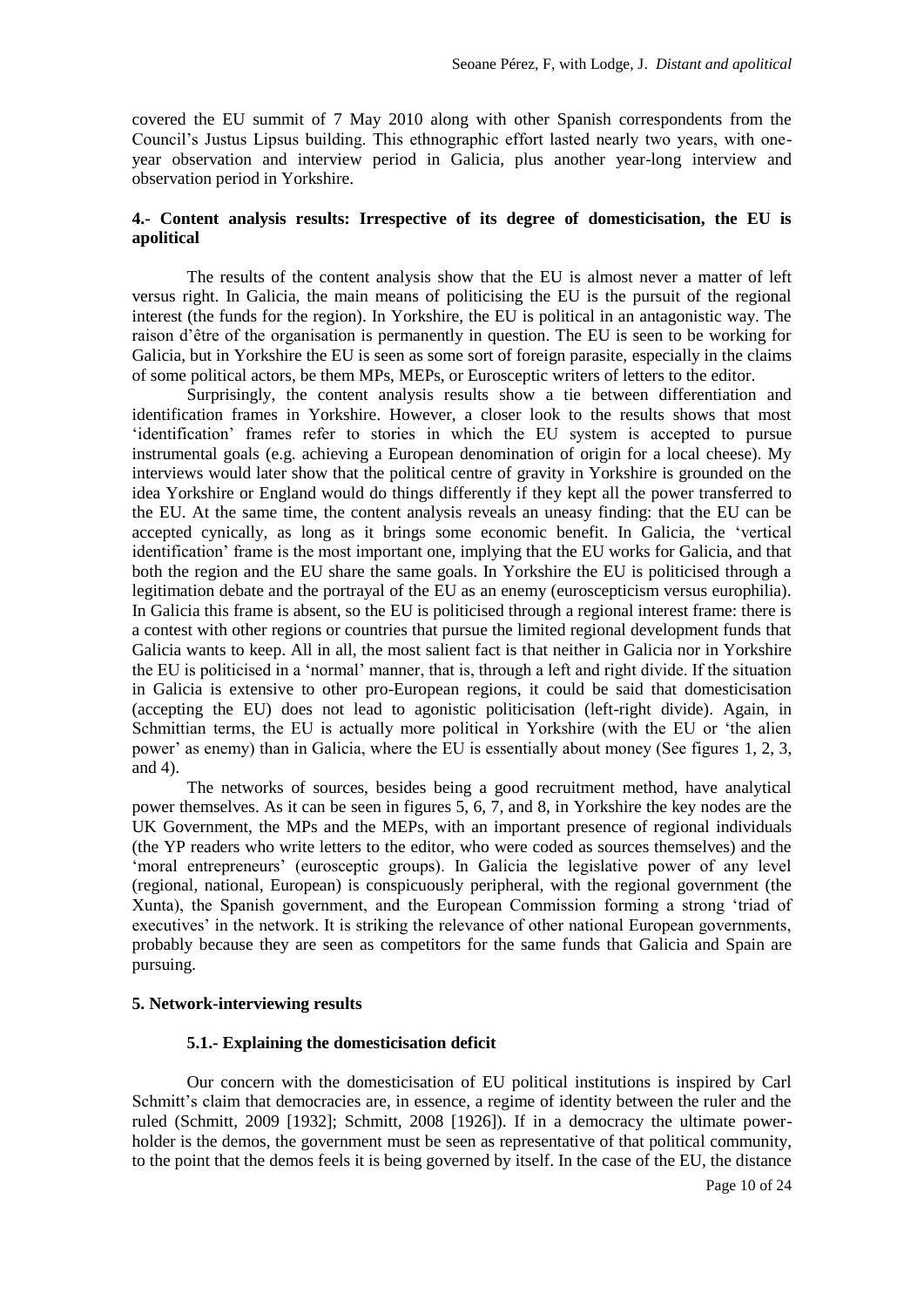covered the EU summit of 7 May 2010 along with other Spanish correspondents from the Council"s Justus Lipsus building. This ethnographic effort lasted nearly two years, with oneyear observation and interview period in Galicia, plus another year-long interview and observation period in Yorkshire.

#### **4.- Content analysis results: Irrespective of its degree of domesticisation, the EU is apolitical**

The results of the content analysis show that the EU is almost never a matter of left versus right. In Galicia, the main means of politicising the EU is the pursuit of the regional interest (the funds for the region). In Yorkshire, the EU is political in an antagonistic way. The raison d"être of the organisation is permanently in question. The EU is seen to be working for Galicia, but in Yorkshire the EU is seen as some sort of foreign parasite, especially in the claims of some political actors, be them MPs, MEPs, or Eurosceptic writers of letters to the editor.

Surprisingly, the content analysis results show a tie between differentiation and identification frames in Yorkshire. However, a closer look to the results shows that most "identification" frames refer to stories in which the EU system is accepted to pursue instrumental goals (e.g. achieving a European denomination of origin for a local cheese). My interviews would later show that the political centre of gravity in Yorkshire is grounded on the idea Yorkshire or England would do things differently if they kept all the power transferred to the EU. At the same time, the content analysis reveals an uneasy finding: that the EU can be accepted cynically, as long as it brings some economic benefit. In Galicia, the "vertical identification' frame is the most important one, implying that the EU works for Galicia, and that both the region and the EU share the same goals. In Yorkshire the EU is politicised through a legitimation debate and the portrayal of the EU as an enemy (euroscepticism versus europhilia). In Galicia this frame is absent, so the EU is politicised through a regional interest frame: there is a contest with other regions or countries that pursue the limited regional development funds that Galicia wants to keep. All in all, the most salient fact is that neither in Galicia nor in Yorkshire the EU is politicised in a "normal" manner, that is, through a left and right divide. If the situation in Galicia is extensive to other pro-European regions, it could be said that domesticisation (accepting the EU) does not lead to agonistic politicisation (left-right divide). Again, in Schmittian terms, the EU is actually more political in Yorkshire (with the EU or "the alien power' as enemy) than in Galicia, where the EU is essentially about money (See figures 1, 2, 3, and 4).

The networks of sources, besides being a good recruitment method, have analytical power themselves. As it can be seen in figures 5, 6, 7, and 8, in Yorkshire the key nodes are the UK Government, the MPs and the MEPs, with an important presence of regional individuals (the YP readers who write letters to the editor, who were coded as sources themselves) and the "moral entrepreneurs" (eurosceptic groups). In Galicia the legislative power of any level (regional, national, European) is conspicuously peripheral, with the regional government (the Xunta), the Spanish government, and the European Commission forming a strong "triad of executives' in the network. It is striking the relevance of other national European governments, probably because they are seen as competitors for the same funds that Galicia and Spain are pursuing.

## **5. Network-interviewing results**

#### **5.1.- Explaining the domesticisation deficit**

Our concern with the domesticisation of EU political institutions is inspired by Carl Schmitt's claim that democracies are, in essence, a regime of identity between the ruler and the ruled (Schmitt, 2009 [1932]; Schmitt, 2008 [1926]). If in a democracy the ultimate powerholder is the demos, the government must be seen as representative of that political community, to the point that the demos feels it is being governed by itself. In the case of the EU, the distance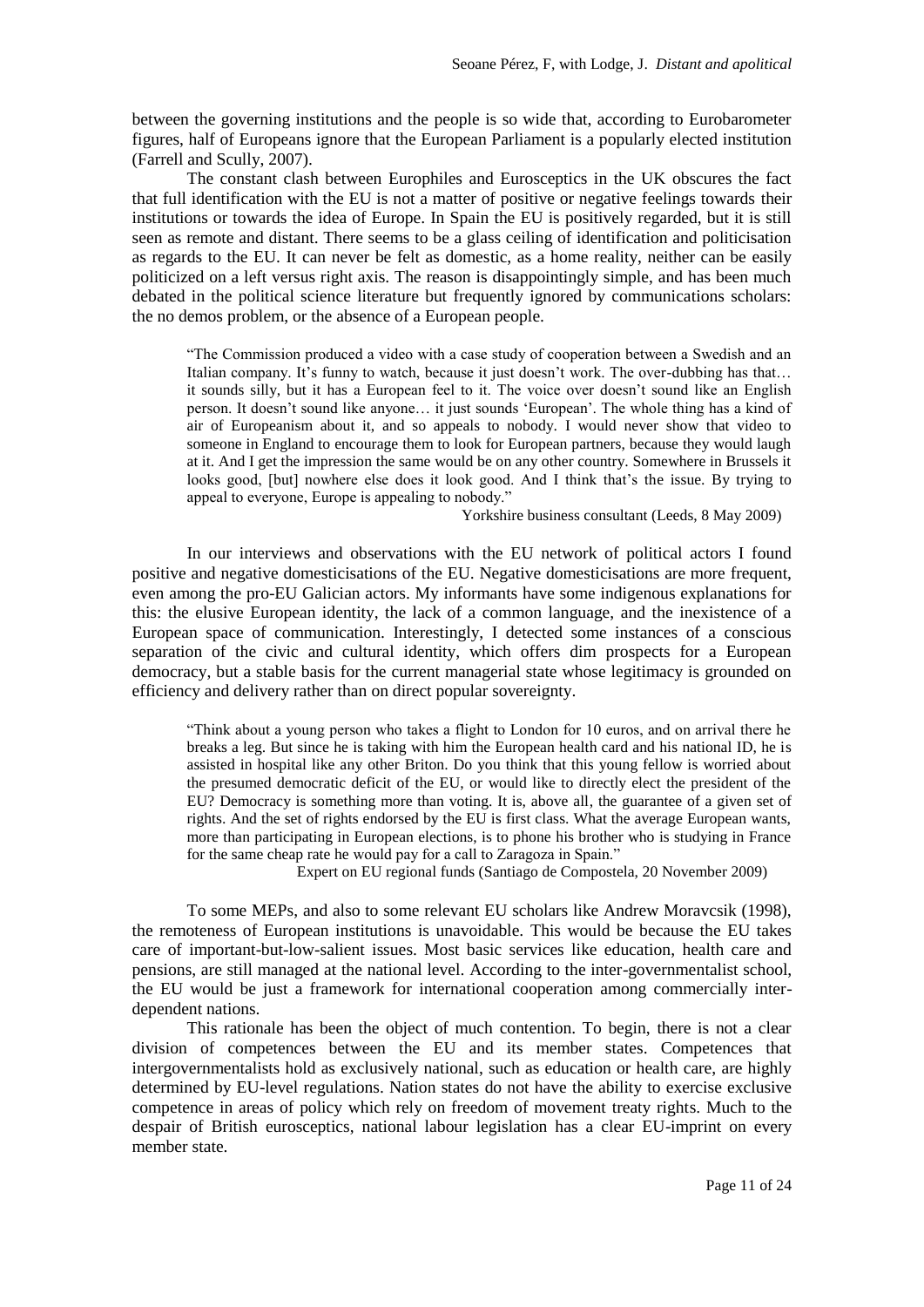between the governing institutions and the people is so wide that, according to Eurobarometer figures, half of Europeans ignore that the European Parliament is a popularly elected institution (Farrell and Scully, 2007).

The constant clash between Europhiles and Eurosceptics in the UK obscures the fact that full identification with the EU is not a matter of positive or negative feelings towards their institutions or towards the idea of Europe. In Spain the EU is positively regarded, but it is still seen as remote and distant. There seems to be a glass ceiling of identification and politicisation as regards to the EU. It can never be felt as domestic, as a home reality, neither can be easily politicized on a left versus right axis. The reason is disappointingly simple, and has been much debated in the political science literature but frequently ignored by communications scholars: the no demos problem, or the absence of a European people.

"The Commission produced a video with a case study of cooperation between a Swedish and an Italian company. It's funny to watch, because it just doesn't work. The over-dubbing has that... it sounds silly, but it has a European feel to it. The voice over doesn"t sound like an English person. It doesn't sound like anyone... it just sounds 'European'. The whole thing has a kind of air of Europeanism about it, and so appeals to nobody. I would never show that video to someone in England to encourage them to look for European partners, because they would laugh at it. And I get the impression the same would be on any other country. Somewhere in Brussels it looks good, [but] nowhere else does it look good. And I think that's the issue. By trying to appeal to everyone, Europe is appealing to nobody."

Yorkshire business consultant (Leeds, 8 May 2009)

In our interviews and observations with the EU network of political actors I found positive and negative domesticisations of the EU. Negative domesticisations are more frequent, even among the pro-EU Galician actors. My informants have some indigenous explanations for this: the elusive European identity, the lack of a common language, and the inexistence of a European space of communication. Interestingly, I detected some instances of a conscious separation of the civic and cultural identity, which offers dim prospects for a European democracy, but a stable basis for the current managerial state whose legitimacy is grounded on efficiency and delivery rather than on direct popular sovereignty.

"Think about a young person who takes a flight to London for 10 euros, and on arrival there he breaks a leg. But since he is taking with him the European health card and his national ID, he is assisted in hospital like any other Briton. Do you think that this young fellow is worried about the presumed democratic deficit of the EU, or would like to directly elect the president of the EU? Democracy is something more than voting. It is, above all, the guarantee of a given set of rights. And the set of rights endorsed by the EU is first class. What the average European wants, more than participating in European elections, is to phone his brother who is studying in France for the same cheap rate he would pay for a call to Zaragoza in Spain."

Expert on EU regional funds (Santiago de Compostela, 20 November 2009)

To some MEPs, and also to some relevant EU scholars like Andrew Moravcsik (1998), the remoteness of European institutions is unavoidable. This would be because the EU takes care of important-but-low-salient issues. Most basic services like education, health care and pensions, are still managed at the national level. According to the inter-governmentalist school, the EU would be just a framework for international cooperation among commercially interdependent nations.

This rationale has been the object of much contention. To begin, there is not a clear division of competences between the EU and its member states. Competences that intergovernmentalists hold as exclusively national, such as education or health care, are highly determined by EU-level regulations. Nation states do not have the ability to exercise exclusive competence in areas of policy which rely on freedom of movement treaty rights. Much to the despair of British eurosceptics, national labour legislation has a clear EU-imprint on every member state.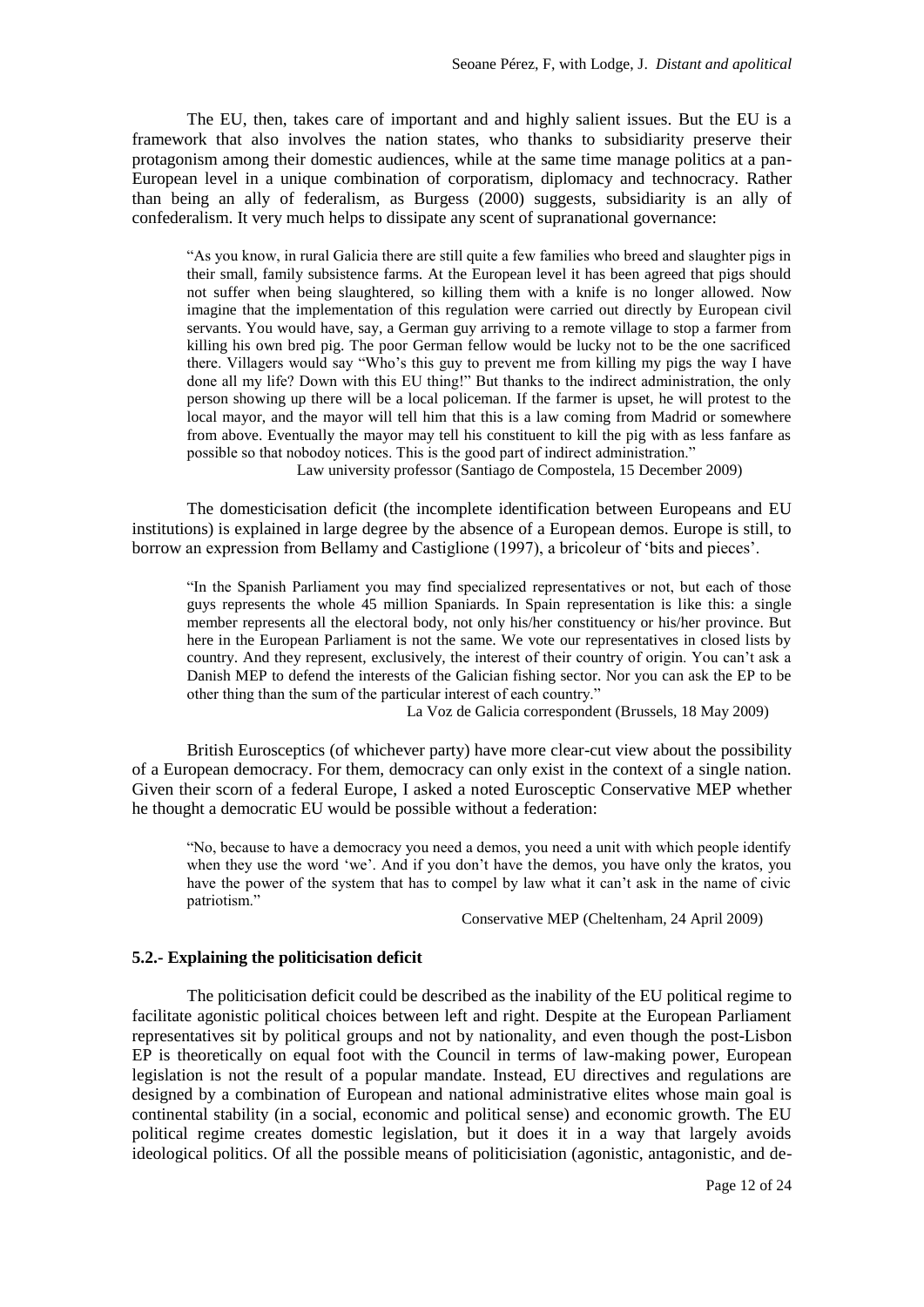The EU, then, takes care of important and and highly salient issues. But the EU is a framework that also involves the nation states, who thanks to subsidiarity preserve their protagonism among their domestic audiences, while at the same time manage politics at a pan-European level in a unique combination of corporatism, diplomacy and technocracy. Rather than being an ally of federalism, as Burgess (2000) suggests, subsidiarity is an ally of confederalism. It very much helps to dissipate any scent of supranational governance:

"As you know, in rural Galicia there are still quite a few families who breed and slaughter pigs in their small, family subsistence farms. At the European level it has been agreed that pigs should not suffer when being slaughtered, so killing them with a knife is no longer allowed. Now imagine that the implementation of this regulation were carried out directly by European civil servants. You would have, say, a German guy arriving to a remote village to stop a farmer from killing his own bred pig. The poor German fellow would be lucky not to be the one sacrificed there. Villagers would say "Who"s this guy to prevent me from killing my pigs the way I have done all my life? Down with this EU thing!" But thanks to the indirect administration, the only person showing up there will be a local policeman. If the farmer is upset, he will protest to the local mayor, and the mayor will tell him that this is a law coming from Madrid or somewhere from above. Eventually the mayor may tell his constituent to kill the pig with as less fanfare as possible so that nobodoy notices. This is the good part of indirect administration."

Law university professor (Santiago de Compostela, 15 December 2009)

The domesticisation deficit (the incomplete identification between Europeans and EU institutions) is explained in large degree by the absence of a European demos. Europe is still, to borrow an expression from Bellamy and Castiglione (1997), a bricoleur of "bits and pieces".

"In the Spanish Parliament you may find specialized representatives or not, but each of those guys represents the whole 45 million Spaniards. In Spain representation is like this: a single member represents all the electoral body, not only his/her constituency or his/her province. But here in the European Parliament is not the same. We vote our representatives in closed lists by country. And they represent, exclusively, the interest of their country of origin. You can"t ask a Danish MEP to defend the interests of the Galician fishing sector. Nor you can ask the EP to be other thing than the sum of the particular interest of each country."

La Voz de Galicia correspondent (Brussels, 18 May 2009)

British Eurosceptics (of whichever party) have more clear-cut view about the possibility of a European democracy. For them, democracy can only exist in the context of a single nation. Given their scorn of a federal Europe, I asked a noted Eurosceptic Conservative MEP whether he thought a democratic EU would be possible without a federation:

"No, because to have a democracy you need a demos, you need a unit with which people identify when they use the word 'we'. And if you don't have the demos, you have only the kratos, you have the power of the system that has to compel by law what it can't ask in the name of civic patriotism."

Conservative MEP (Cheltenham, 24 April 2009)

#### **5.2.- Explaining the politicisation deficit**

The politicisation deficit could be described as the inability of the EU political regime to facilitate agonistic political choices between left and right. Despite at the European Parliament representatives sit by political groups and not by nationality, and even though the post-Lisbon EP is theoretically on equal foot with the Council in terms of law-making power, European legislation is not the result of a popular mandate. Instead, EU directives and regulations are designed by a combination of European and national administrative elites whose main goal is continental stability (in a social, economic and political sense) and economic growth. The EU political regime creates domestic legislation, but it does it in a way that largely avoids ideological politics. Of all the possible means of politicisiation (agonistic, antagonistic, and de-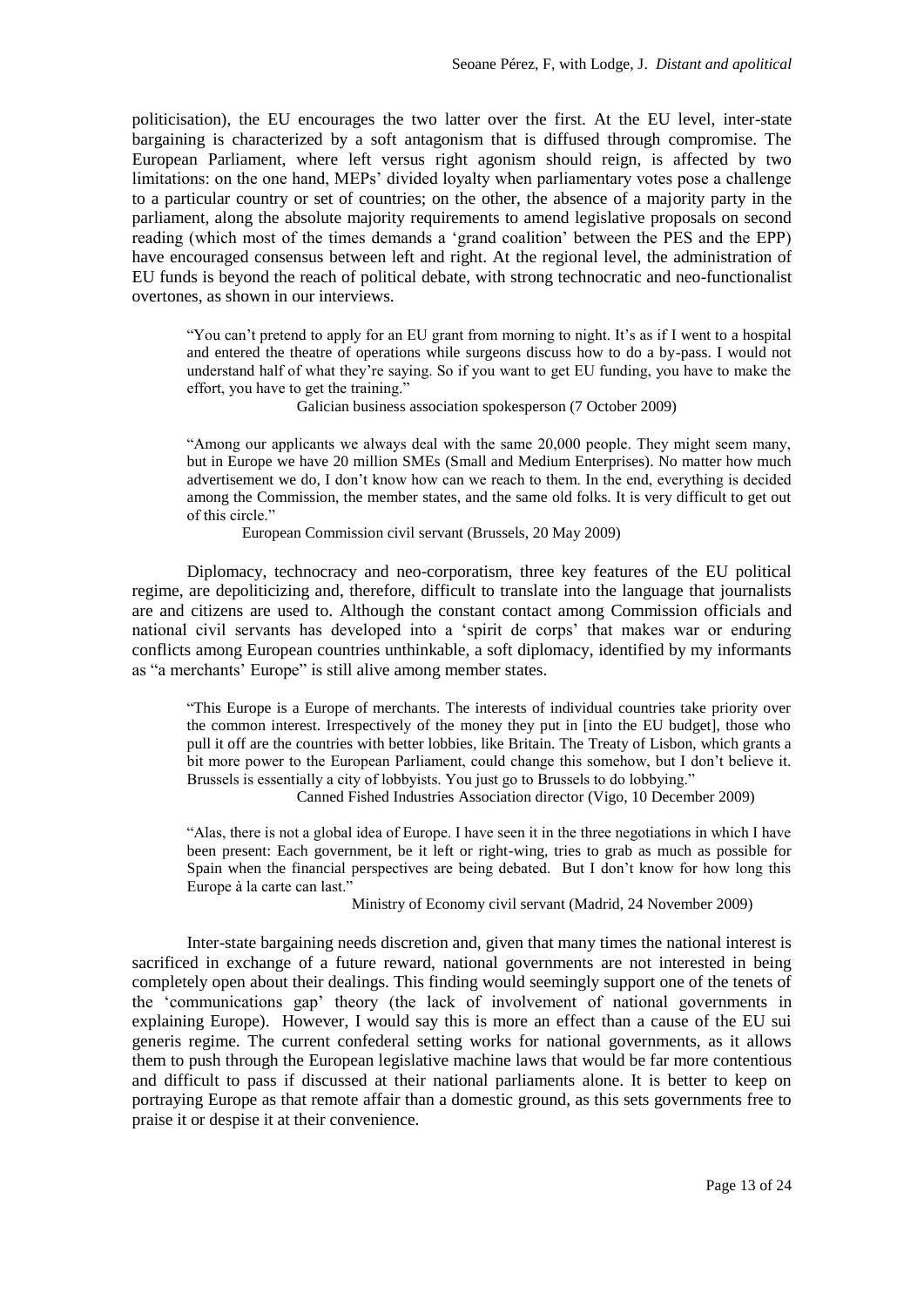politicisation), the EU encourages the two latter over the first. At the EU level, inter-state bargaining is characterized by a soft antagonism that is diffused through compromise. The European Parliament, where left versus right agonism should reign, is affected by two limitations: on the one hand, MEPs' divided loyalty when parliamentary votes pose a challenge to a particular country or set of countries; on the other, the absence of a majority party in the parliament, along the absolute majority requirements to amend legislative proposals on second reading (which most of the times demands a "grand coalition" between the PES and the EPP) have encouraged consensus between left and right. At the regional level, the administration of EU funds is beyond the reach of political debate, with strong technocratic and neo-functionalist overtones, as shown in our interviews.

"You can"t pretend to apply for an EU grant from morning to night. It"s as if I went to a hospital and entered the theatre of operations while surgeons discuss how to do a by-pass. I would not understand half of what they"re saying. So if you want to get EU funding, you have to make the effort, you have to get the training."

Galician business association spokesperson (7 October 2009)

"Among our applicants we always deal with the same 20,000 people. They might seem many, but in Europe we have 20 million SMEs (Small and Medium Enterprises). No matter how much advertisement we do, I don"t know how can we reach to them. In the end, everything is decided among the Commission, the member states, and the same old folks. It is very difficult to get out of this circle."

European Commission civil servant (Brussels, 20 May 2009)

Diplomacy, technocracy and neo-corporatism, three key features of the EU political regime, are depoliticizing and, therefore, difficult to translate into the language that journalists are and citizens are used to. Although the constant contact among Commission officials and national civil servants has developed into a "spirit de corps" that makes war or enduring conflicts among European countries unthinkable, a soft diplomacy, identified by my informants as "a merchants" Europe" is still alive among member states.

"This Europe is a Europe of merchants. The interests of individual countries take priority over the common interest. Irrespectively of the money they put in [into the EU budget], those who pull it off are the countries with better lobbies, like Britain. The Treaty of Lisbon, which grants a bit more power to the European Parliament, could change this somehow, but I don"t believe it. Brussels is essentially a city of lobbyists. You just go to Brussels to do lobbying."

Canned Fished Industries Association director (Vigo, 10 December 2009)

"Alas, there is not a global idea of Europe. I have seen it in the three negotiations in which I have been present: Each government, be it left or right-wing, tries to grab as much as possible for Spain when the financial perspectives are being debated. But I don"t know for how long this Europe à la carte can last."

Ministry of Economy civil servant (Madrid, 24 November 2009)

Inter-state bargaining needs discretion and, given that many times the national interest is sacrificed in exchange of a future reward, national governments are not interested in being completely open about their dealings. This finding would seemingly support one of the tenets of the "communications gap" theory (the lack of involvement of national governments in explaining Europe). However, I would say this is more an effect than a cause of the EU sui generis regime. The current confederal setting works for national governments, as it allows them to push through the European legislative machine laws that would be far more contentious and difficult to pass if discussed at their national parliaments alone. It is better to keep on portraying Europe as that remote affair than a domestic ground, as this sets governments free to praise it or despise it at their convenience.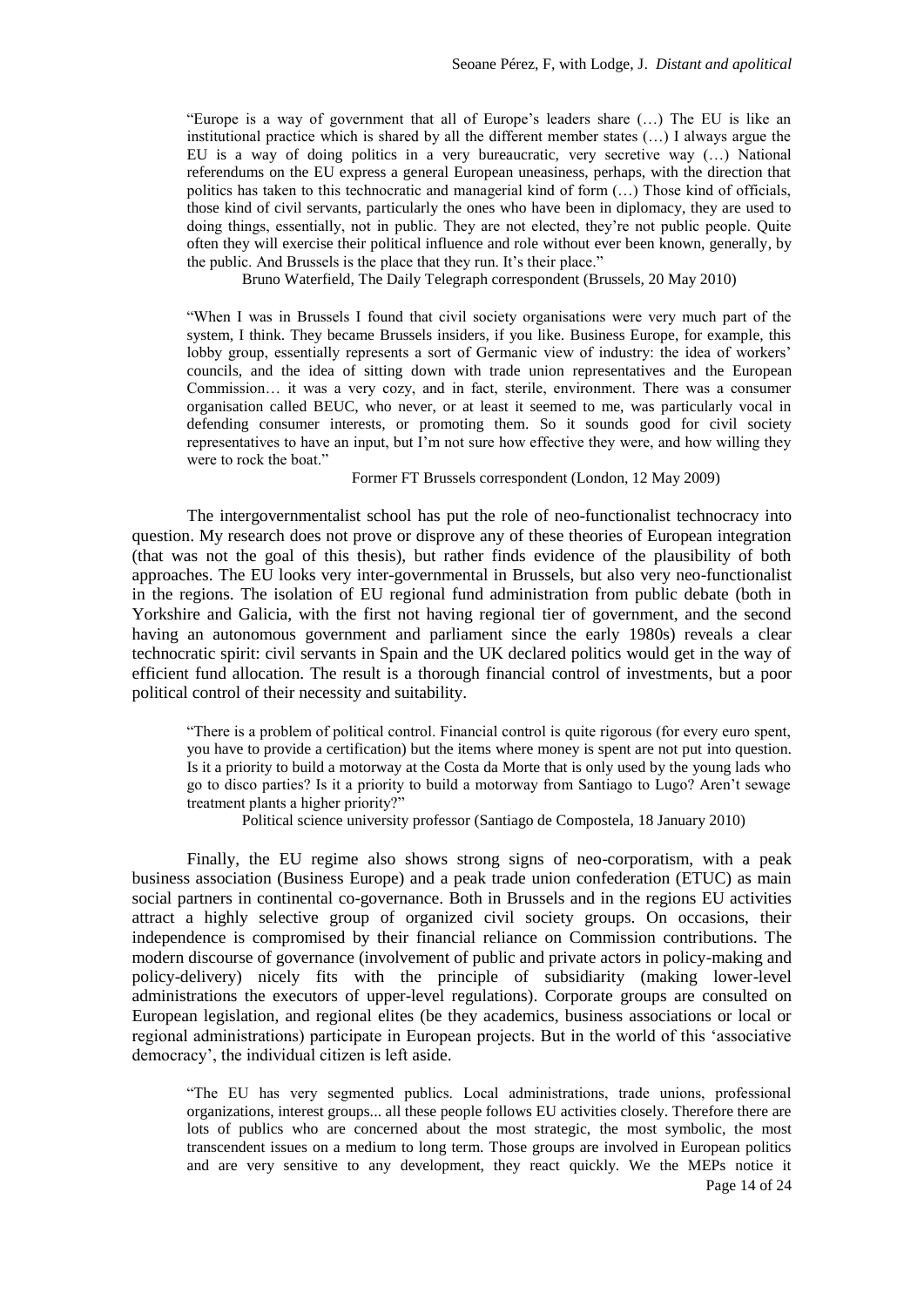"Europe is a way of government that all of Europe"s leaders share (…) The EU is like an institutional practice which is shared by all the different member states (…) I always argue the EU is a way of doing politics in a very bureaucratic, very secretive way (…) National referendums on the EU express a general European uneasiness, perhaps, with the direction that politics has taken to this technocratic and managerial kind of form (…) Those kind of officials, those kind of civil servants, particularly the ones who have been in diplomacy, they are used to doing things, essentially, not in public. They are not elected, they"re not public people. Quite often they will exercise their political influence and role without ever been known, generally, by the public. And Brussels is the place that they run. It's their place."

Bruno Waterfield, The Daily Telegraph correspondent (Brussels, 20 May 2010)

"When I was in Brussels I found that civil society organisations were very much part of the system, I think. They became Brussels insiders, if you like. Business Europe, for example, this lobby group, essentially represents a sort of Germanic view of industry; the idea of workers' councils, and the idea of sitting down with trade union representatives and the European Commission… it was a very cozy, and in fact, sterile, environment. There was a consumer organisation called BEUC, who never, or at least it seemed to me, was particularly vocal in defending consumer interests, or promoting them. So it sounds good for civil society representatives to have an input, but I"m not sure how effective they were, and how willing they were to rock the boat."

Former FT Brussels correspondent (London, 12 May 2009)

The intergovernmentalist school has put the role of neo-functionalist technocracy into question. My research does not prove or disprove any of these theories of European integration (that was not the goal of this thesis), but rather finds evidence of the plausibility of both approaches. The EU looks very inter-governmental in Brussels, but also very neo-functionalist in the regions. The isolation of EU regional fund administration from public debate (both in Yorkshire and Galicia, with the first not having regional tier of government, and the second having an autonomous government and parliament since the early 1980s) reveals a clear technocratic spirit: civil servants in Spain and the UK declared politics would get in the way of efficient fund allocation. The result is a thorough financial control of investments, but a poor political control of their necessity and suitability.

"There is a problem of political control. Financial control is quite rigorous (for every euro spent, you have to provide a certification) but the items where money is spent are not put into question. Is it a priority to build a motorway at the Costa da Morte that is only used by the young lads who go to disco parties? Is it a priority to build a motorway from Santiago to Lugo? Aren"t sewage treatment plants a higher priority?"

Political science university professor (Santiago de Compostela, 18 January 2010)

Finally, the EU regime also shows strong signs of neo-corporatism, with a peak business association (Business Europe) and a peak trade union confederation (ETUC) as main social partners in continental co-governance. Both in Brussels and in the regions EU activities attract a highly selective group of organized civil society groups. On occasions, their independence is compromised by their financial reliance on Commission contributions. The modern discourse of governance (involvement of public and private actors in policy-making and policy-delivery) nicely fits with the principle of subsidiarity (making lower-level administrations the executors of upper-level regulations). Corporate groups are consulted on European legislation, and regional elites (be they academics, business associations or local or regional administrations) participate in European projects. But in the world of this "associative democracy", the individual citizen is left aside.

"The EU has very segmented publics. Local administrations, trade unions, professional organizations, interest groups... all these people follows EU activities closely. Therefore there are lots of publics who are concerned about the most strategic, the most symbolic, the most transcendent issues on a medium to long term. Those groups are involved in European politics and are very sensitive to any development, they react quickly. We the MEPs notice it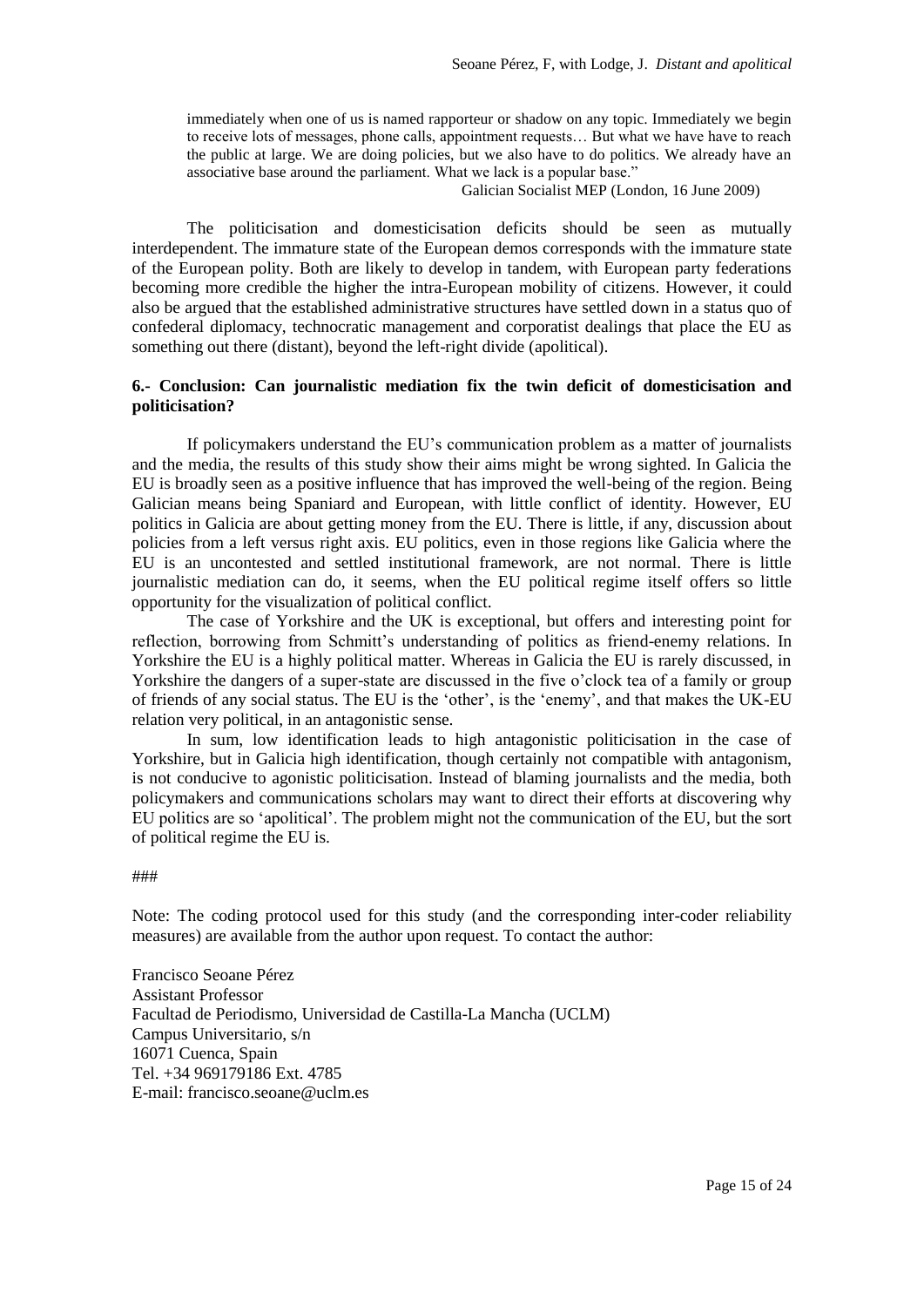immediately when one of us is named rapporteur or shadow on any topic. Immediately we begin to receive lots of messages, phone calls, appointment requests… But what we have have to reach the public at large. We are doing policies, but we also have to do politics. We already have an associative base around the parliament. What we lack is a popular base."

Galician Socialist MEP (London, 16 June 2009)

The politicisation and domesticisation deficits should be seen as mutually interdependent. The immature state of the European demos corresponds with the immature state of the European polity. Both are likely to develop in tandem, with European party federations becoming more credible the higher the intra-European mobility of citizens. However, it could also be argued that the established administrative structures have settled down in a status quo of confederal diplomacy, technocratic management and corporatist dealings that place the EU as something out there (distant), beyond the left-right divide (apolitical).

#### **6.- Conclusion: Can journalistic mediation fix the twin deficit of domesticisation and politicisation?**

If policymakers understand the EU"s communication problem as a matter of journalists and the media, the results of this study show their aims might be wrong sighted. In Galicia the EU is broadly seen as a positive influence that has improved the well-being of the region. Being Galician means being Spaniard and European, with little conflict of identity. However, EU politics in Galicia are about getting money from the EU. There is little, if any, discussion about policies from a left versus right axis. EU politics, even in those regions like Galicia where the EU is an uncontested and settled institutional framework, are not normal. There is little journalistic mediation can do, it seems, when the EU political regime itself offers so little opportunity for the visualization of political conflict.

The case of Yorkshire and the UK is exceptional, but offers and interesting point for reflection, borrowing from Schmitt's understanding of politics as friend-enemy relations. In Yorkshire the EU is a highly political matter. Whereas in Galicia the EU is rarely discussed, in Yorkshire the dangers of a super-state are discussed in the five o'clock tea of a family or group of friends of any social status. The EU is the "other", is the "enemy", and that makes the UK-EU relation very political, in an antagonistic sense.

In sum, low identification leads to high antagonistic politicisation in the case of Yorkshire, but in Galicia high identification, though certainly not compatible with antagonism, is not conducive to agonistic politicisation. Instead of blaming journalists and the media, both policymakers and communications scholars may want to direct their efforts at discovering why EU politics are so "apolitical". The problem might not the communication of the EU, but the sort of political regime the EU is.

#### ###

Note: The coding protocol used for this study (and the corresponding inter-coder reliability measures) are available from the author upon request. To contact the author:

Francisco Seoane Pérez Assistant Professor Facultad de Periodismo, Universidad de Castilla-La Mancha (UCLM) Campus Universitario, s/n 16071 Cuenca, Spain Tel. +34 969179186 Ext. 4785 E-mail: francisco.seoane@uclm.es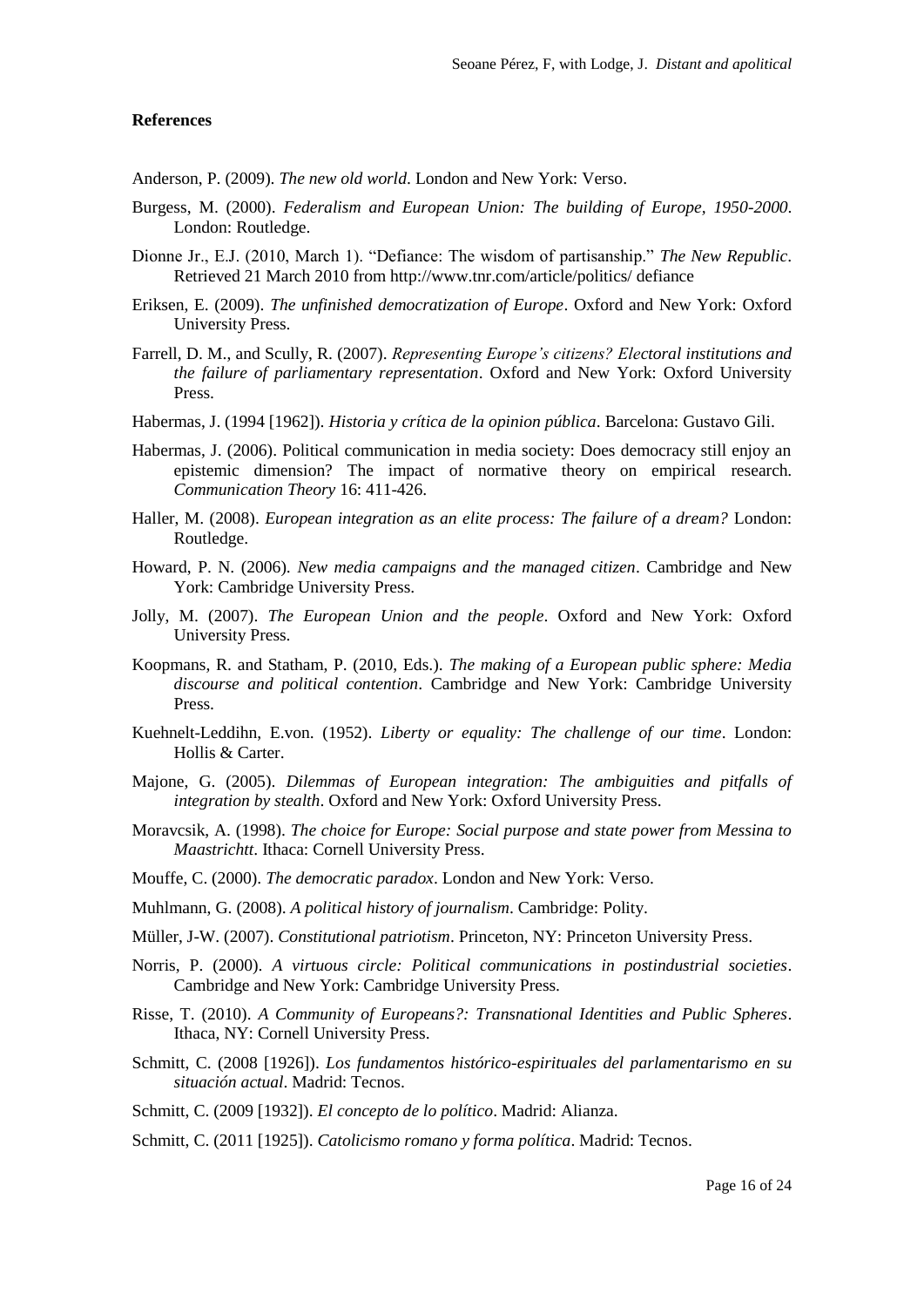#### **References**

Anderson, P. (2009). *The new old world*. London and New York: Verso.

- Burgess, M. (2000). *Federalism and European Union: The building of Europe, 1950-2000*. London: Routledge.
- Dionne Jr., E.J. (2010, March 1). "Defiance: The wisdom of partisanship." *The New Republic*. Retrieved 21 March 2010 from http://www.tnr.com/article/politics/ defiance
- Eriksen, E. (2009). *The unfinished democratization of Europe*. Oxford and New York: Oxford University Press.
- Farrell, D. M., and Scully, R. (2007). *Representing Europe's citizens? Electoral institutions and the failure of parliamentary representation*. Oxford and New York: Oxford University Press.
- Habermas, J. (1994 [1962]). *Historia y crítica de la opinion pública*. Barcelona: Gustavo Gili.
- Habermas, J. (2006). Political communication in media society: Does democracy still enjoy an epistemic dimension? The impact of normative theory on empirical research. *Communication Theory* 16: 411-426.
- Haller, M. (2008). *European integration as an elite process: The failure of a dream?* London: Routledge.
- Howard, P. N. (2006). *New media campaigns and the managed citizen*. Cambridge and New York: Cambridge University Press.
- Jolly, M. (2007). *The European Union and the people*. Oxford and New York: Oxford University Press.
- Koopmans, R. and Statham, P. (2010, Eds.). *The making of a European public sphere: Media discourse and political contention*. Cambridge and New York: Cambridge University Press.
- Kuehnelt-Leddihn, E.von. (1952). *Liberty or equality: The challenge of our time*. London: Hollis & Carter.
- Majone, G. (2005). *Dilemmas of European integration: The ambiguities and pitfalls of integration by stealth*. Oxford and New York: Oxford University Press.
- Moravcsik, A. (1998). *The choice for Europe: Social purpose and state power from Messina to Maastrichtt*. Ithaca: Cornell University Press.
- Mouffe, C. (2000). *The democratic paradox*. London and New York: Verso.
- Muhlmann, G. (2008). *A political history of journalism*. Cambridge: Polity.
- Müller, J-W. (2007). *Constitutional patriotism*. Princeton, NY: Princeton University Press.
- Norris, P. (2000). *A virtuous circle: Political communications in postindustrial societies*. Cambridge and New York: Cambridge University Press.
- Risse, T. (2010). *A Community of Europeans?: Transnational Identities and Public Spheres*. Ithaca, NY: Cornell University Press.
- Schmitt, C. (2008 [1926]). *Los fundamentos histórico-espirituales del parlamentarismo en su situación actual*. Madrid: Tecnos.
- Schmitt, C. (2009 [1932]). *El concepto de lo político*. Madrid: Alianza.
- Schmitt, C. (2011 [1925]). *Catolicismo romano y forma política*. Madrid: Tecnos.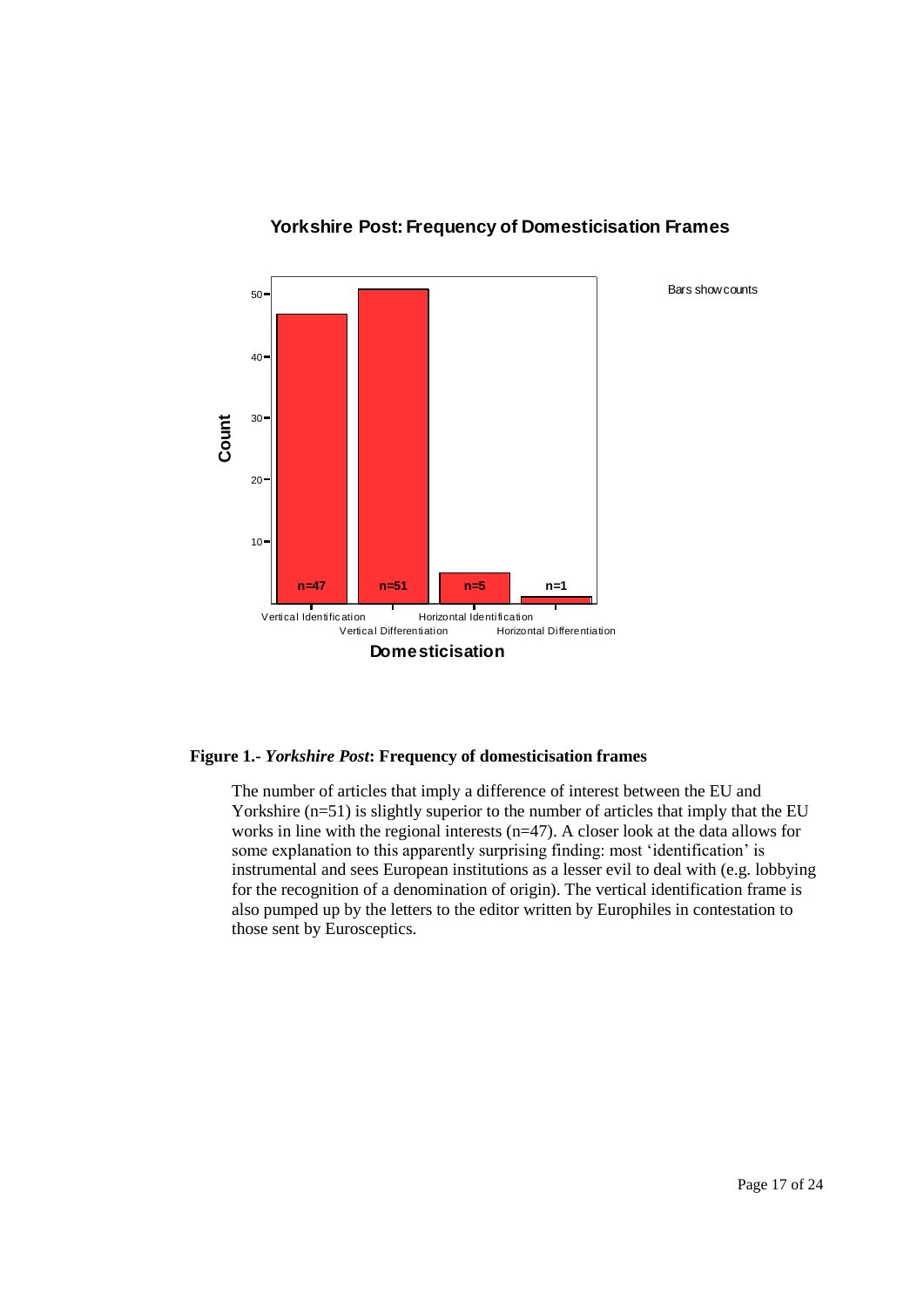



Bars show counts

#### **Figure 1.-** *Yorkshire Post***: Frequency of domesticisation frames**

The number of articles that imply a difference of interest between the EU and Yorkshire (n=51) is slightly superior to the number of articles that imply that the EU works in line with the regional interests (n=47). A closer look at the data allows for some explanation to this apparently surprising finding: most 'identification' is instrumental and sees European institutions as a lesser evil to deal with (e.g. lobbying for the recognition of a denomination of origin). The vertical identification frame is also pumped up by the letters to the editor written by Europhiles in contestation to those sent by Eurosceptics.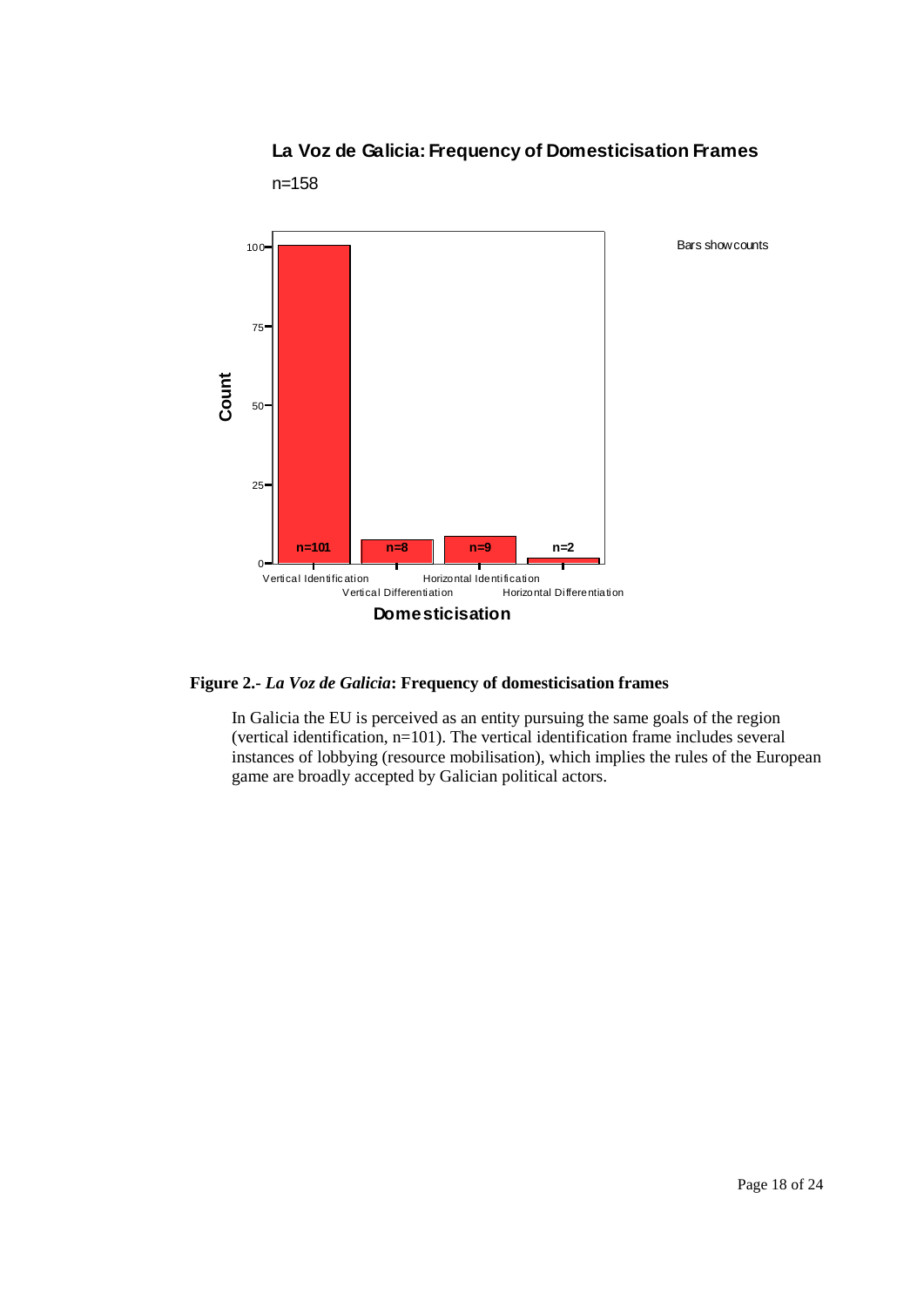

# **La Voz de Galicia: Frequency of Domesticisation Frames**

**Figure 2.-** *La Voz de Galicia***: Frequency of domesticisation frames**

In Galicia the EU is perceived as an entity pursuing the same goals of the region (vertical identification, n=101). The vertical identification frame includes several instances of lobbying (resource mobilisation), which implies the rules of the European game are broadly accepted by Galician political actors.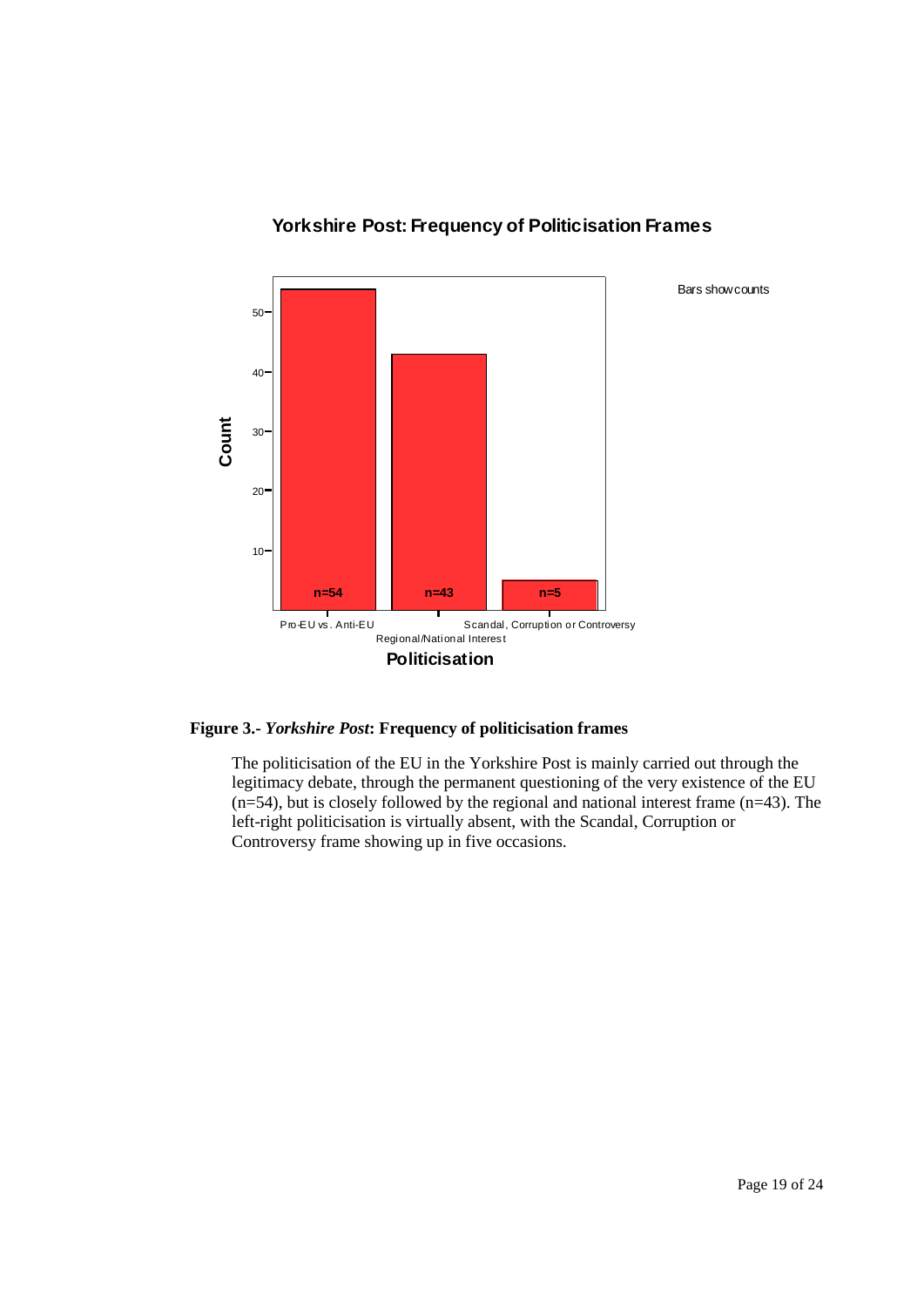

## **Yorkshire Post: Frequency of Politicisation Frames**

#### **Figure 3.-** *Yorkshire Post***: Frequency of politicisation frames**

The politicisation of the EU in the Yorkshire Post is mainly carried out through the legitimacy debate, through the permanent questioning of the very existence of the EU (n=54), but is closely followed by the regional and national interest frame (n=43). The left-right politicisation is virtually absent, with the Scandal, Corruption or Controversy frame showing up in five occasions.

Bars show counts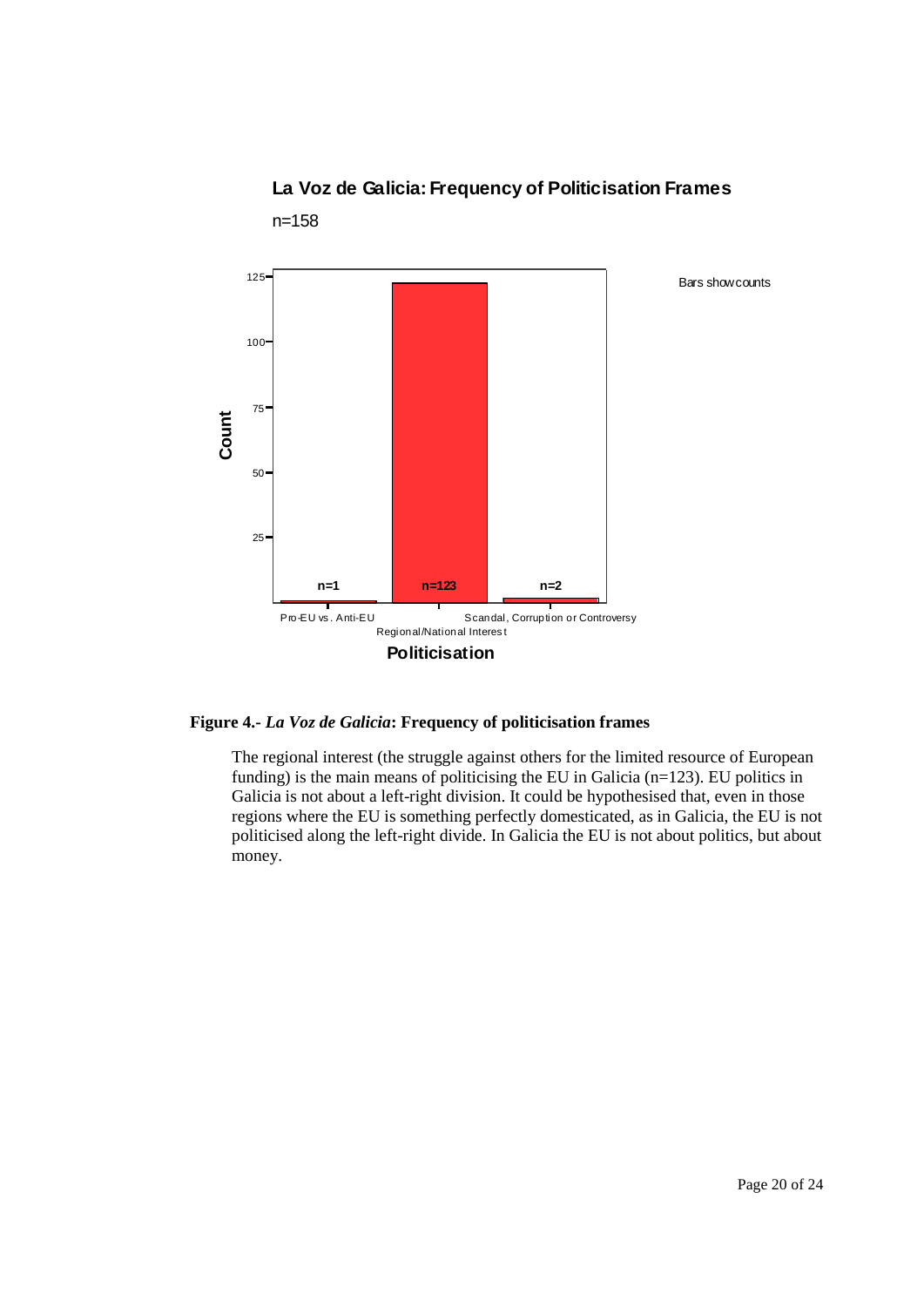

## **La Voz de Galicia: Frequency of Politicisation Frames**

n=158

**Figure 4.-** *La Voz de Galicia***: Frequency of politicisation frames**

The regional interest (the struggle against others for the limited resource of European funding) is the main means of politicising the EU in Galicia (n=123). EU politics in Galicia is not about a left-right division. It could be hypothesised that, even in those regions where the EU is something perfectly domesticated, as in Galicia, the EU is not politicised along the left-right divide. In Galicia the EU is not about politics, but about money.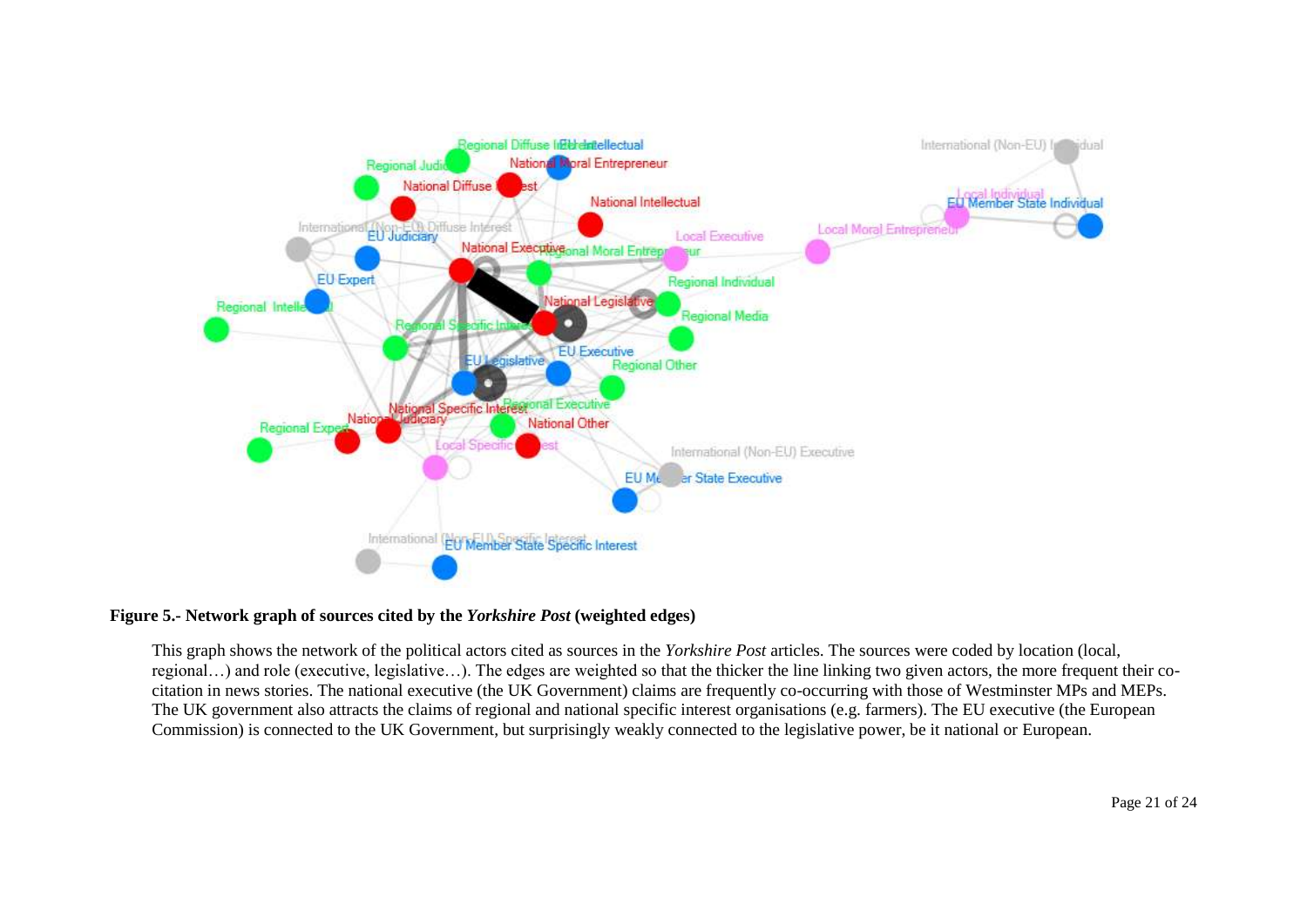

#### **Figure 5.- Network graph of sources cited by the** *Yorkshire Post* **(weighted edges)**

This graph shows the network of the political actors cited as sources in the *Yorkshire Post* articles. The sources were coded by location (local, regional…) and role (executive, legislative…). The edges are weighted so that the thicker the line linking two given actors, the more frequent their cocitation in news stories. The national executive (the UK Government) claims are frequently co-occurring with those of Westminster MPs and MEPs. The UK government also attracts the claims of regional and national specific interest organisations (e.g. farmers). The EU executive (the European Commission) is connected to the UK Government, but surprisingly weakly connected to the legislative power, be it national or European.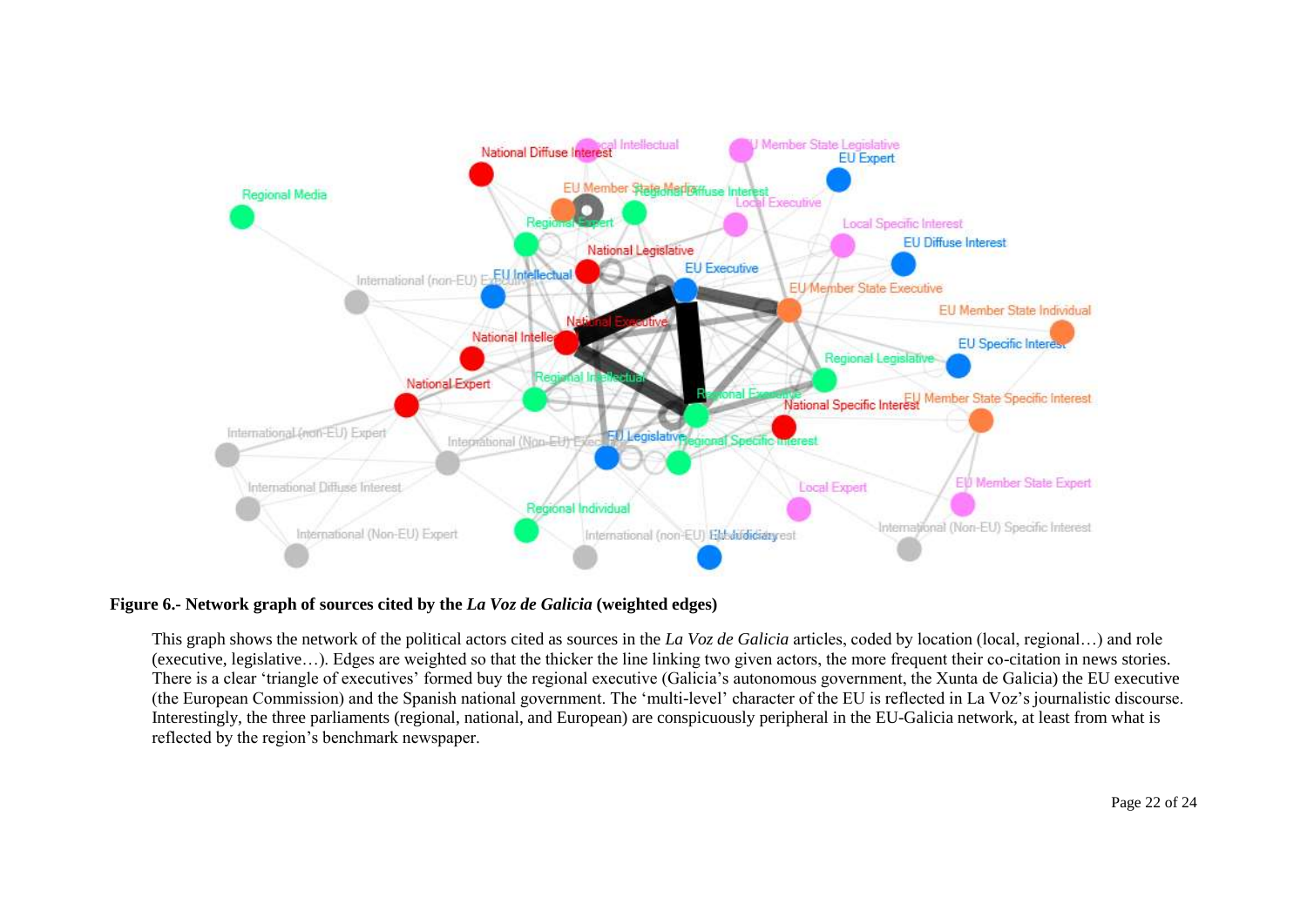

#### **Figure 6.- Network graph of sources cited by the** *La Voz de Galicia* **(weighted edges)**

This graph shows the network of the political actors cited as sources in the *La Voz de Galicia* articles, coded by location (local, regional…) and role (executive, legislative…). Edges are weighted so that the thicker the line linking two given actors, the more frequent their co-citation in news stories. There is a clear "triangle of executives" formed buy the regional executive (Galicia"s autonomous government, the Xunta de Galicia) the EU executive (the European Commission) and the Spanish national government. The "multi-level" character of the EU is reflected in La Voz"s journalistic discourse. Interestingly, the three parliaments (regional, national, and European) are conspicuously peripheral in the EU-Galicia network, at least from what is reflected by the region"s benchmark newspaper.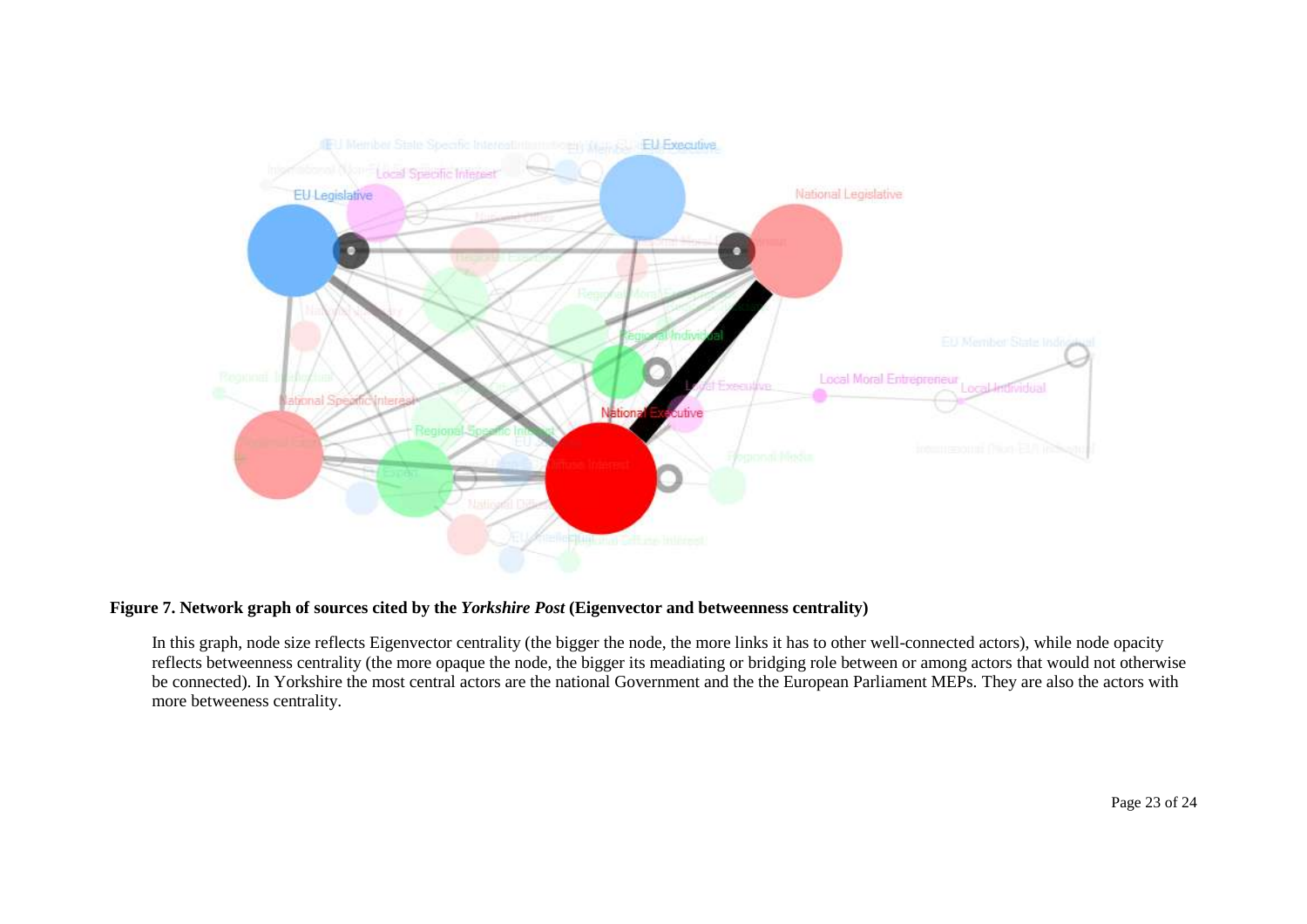

## **Figure 7. Network graph of sources cited by the** *Yorkshire Post* **(Eigenvector and betweenness centrality)**

In this graph, node size reflects Eigenvector centrality (the bigger the node, the more links it has to other well-connected actors), while node opacity reflects betweenness centrality (the more opaque the node, the bigger its meadiating or bridging role between or among actors that would not otherwise be connected). In Yorkshire the most central actors are the national Government and the the European Parliament MEPs. They are also the actors with more betweeness centrality.